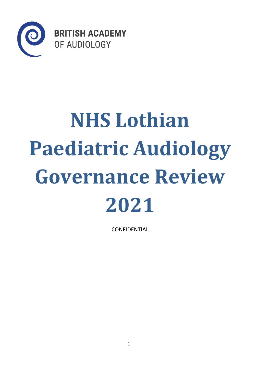

# **NHS Lothian Paediatric Audiology Governance Review 2021**

CONFIDENTIAL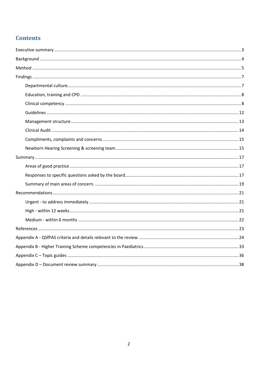# **Contents**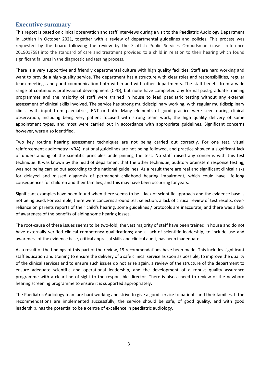## <span id="page-2-0"></span>**Executive summary**

This report is based on clinical observation and staff interviews during a visit to the Paediatric Audiology Department in Lothian in October 2021, together with a review of departmental guidelines and policies. This process was requested by the board following the review by the Scottish Public Services Ombudsman (case reference 201901758) into the standard of care and treatment provided to a child in relation to their hearing which found significant failures in the diagnostic and testing process.

There is a very supportive and friendly departmental culture with high quality facilities. Staff are hard working and want to provide a high-quality service. The department has a structure with clear roles and responsibilities, regular team meetings and good communication both within and with other departments. The staff benefit from a wide range of continuous professional development (CPD), but none have completed any formal post-graduate training programmes and the majority of staff were trained in house to lead paediatric testing without any external assessment of clinical skills involved. The service has strong multidisciplinary working, with regular multidisciplinary clinics with input from paediatrics, ENT or both. Many elements of good practice were seen during clinical observation, including being very patient focused with strong team work, the high quality delivery of some appointment types, and most were carried out in accordance with appropriate guidelines. Significant concerns however, were also identified.

Two key routine hearing assessment techniques are not being carried out correctly. For one test, visual reinforcement audiometry (VRA), national guidelines are not being followed, and practice showed a significant lack of understanding of the scientific principles underpinning the test. No staff raised any concerns with this test technique. It was known by the head of department that the other technique, auditory brainstem response testing, was not being carried out according to the national guidelines. As a result there are real and significant clinical risks for delayed and missed diagnosis of permanent childhood hearing impairment, which could have life-long consequences for children and their families, and this may have been occurring for years.

Significant examples have been found when there seems to be a lack of scientific approach and the evidence base is not being used. For example, there were concerns around test selection, a lack of critical review of test results, overreliance on parents reports of their child's hearing, some guidelines / protocols are inaccurate, and there was a lack of awareness of the benefits of aiding some hearing losses.

The root-cause of these issues seems to be two-fold; the vast majority of staff have been trained in house and do not have externally verified clinical competency qualifications; and a lack of scientific leadership, to include use and awareness of the evidence base, critical appraisal skills and clinical audit, has been inadequate.

As a result of the findings of this part of the review, 19 recommendations have been made. This includes significant staff education and training to ensure the delivery of a safe clinical service as soon as possible, to improve the quality of the clinical services and to ensure such issues do not arise again, a review of the structure of the department to ensure adequate scientific and operational leadership, and the development of a robust quality assurance programme with a clear line of sight to the responsible director. There is also a need to review of the newborn hearing screening programme to ensure it is supported appropriately.

The Paediatric Audiology team are hard working and strive to give a good service to patients and their families. If the recommendations are implemented successfully, the service should be safe, of good quality, and with good leadership, has the potential to be a centre of excellence in paediatric audiology.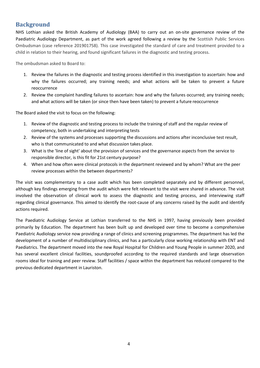## <span id="page-3-0"></span>**Background**

NHS Lothian asked the British Academy of Audiology (BAA) to carry out an on-site governance review of the Paediatric Audiology Department, as part of the work agreed following a review by the Scottish Public Services Ombudsman (case reference 201901758). This case investigated the standard of care and treatment provided to a child in relation to their hearing, and found significant failures in the diagnostic and testing process.

The ombudsman asked to Board to:

- 1. Review the failures in the diagnostic and testing process identified in this investigation to ascertain: how and why the failures occurred; any training needs; and what actions will be taken to prevent a future reoccurrence
- 2. Review the complaint handling failures to ascertain: how and why the failures occurred; any training needs; and what actions will be taken (or since then have been taken) to prevent a future reoccurrence

The Board asked the visit to focus on the following:

- 1. Review of the diagnostic and testing process to include the training of staff and the regular review of competency, both in undertaking and interpreting tests
- 2. Review of the systems and processes supporting the discussions and actions after inconclusive test result, who is that communicated to and what discussion takes place.
- 3. What is the 'line of sight' about the provision of services and the governance aspects from the service to responsible director, is this fit for 21st century purpose?
- 4. When and how often were clinical protocols in the department reviewed and by whom? What are the peer review processes within the between departments?

The visit was complementary to a case audit which has been completed separately and by different personnel, although key findings emerging from the audit which were felt relevant to the visit were shared in advance. The visit involved the observation of clinical work to assess the diagnostic and testing process, and interviewing staff regarding clinical governance. This aimed to identify the root-cause of any concerns raised by the audit and identify actions required.

The Paediatric Audiology Service at Lothian transferred to the NHS in 1997, having previously been provided primarily by Education. The department has been built up and developed over time to become a comprehensive Paediatric Audiology service now providing a range of clinics and screening programmes. The department has led the development of a number of multidisciplinary clinics, and has a particularly close working relationship with ENT and Paediatrics. The department moved into the new Royal Hospital for Children and Young People in summer 2020, and has several excellent clinical facilities, soundproofed according to the required standards and large observation rooms ideal for training and peer review. Staff facilities / space within the department has reduced compared to the previous dedicated department in Lauriston.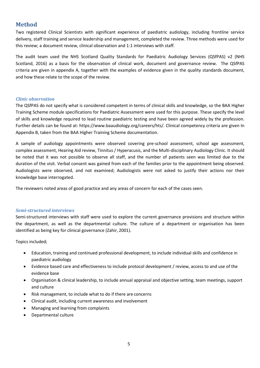## <span id="page-4-0"></span>**Method**

Two registered Clinical Scientists with significant experience of paediatric audiology, including frontline service delivery, staff training and service leadership and management, completed the review. Three methods were used for this review; a document review, clinical observation and 1:1 interviews with staff.

The audit team used the NHS Scotland Quality Standards for Paediatric Audiology Services (QSfPAS) v2 (NHS Scotland, 2016) as a basis for the observation of clinical work, document and governance review. The QSfPAS criteria are given in appendix A, together with the examples of evidence given in the quality standards document, and how these relate to the scope of the review.

## *Clinic observation*

The QSfPAS do not specify what is considered competent in terms of clinical skills and knowledge, so the BAA Higher Training Scheme module specifications for Paediatric Assessment were used for this purpose. These specify the level of skills and knowledge required to lead routine paediatric testing and have been agreed widely by the profession. Further details can be found at: https:[//www.baaudiology.org/careers/hts/. C](http://www.baaudiology.org/careers/hts/)linical competency criteria are given In Appendix B, taken from the BAA Higher Training Scheme documentation.

A sample of audiology appointments were observed covering pre-school assessment, school age assessment, complex assessment, Hearing Aid review, Tinnitus / Hyperacusis, and the Multi-disciplinary Audiology Clinic. It should be noted that it was not possible to observe all staff, and the number of patients seen was limited due to the duration of the visit. Verbal consent was gained from each of the families prior to the appointment being observed. Audiologists were observed, and not examined; Audiologists were not asked to justify their actions nor their knowledge base interrogated.

The reviewers noted areas of good practice and any areas of concern for each of the cases seen.

## *Semi-structured interviews*

Semi-structured interviews with staff were used to explore the current governance provisions and structure within the department, as well as the departmental culture. The culture of a department or organisation has been identified as being key for clinical governance (Zahir, 2001).

Topics included;

- Education, training and continued professional development, to include individual skills and confidence in paediatric audiology
- Evidence based care and effectiveness to include protocol development / review, access to and use of the evidence base
- Organisation & clinical leadership, to include annual appraisal and objective setting, team meetings, support and culture
- Risk management, to include what to do if there are concerns
- Clinical audit, including current awareness and involvement
- Managing and learning from complaints
- Departmental culture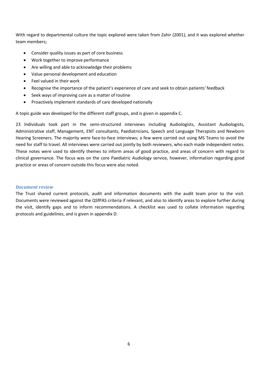With regard to departmental culture the topic explored were taken from Zahir (2001), and it was explored whether team members;

- Consider quality issues as part of core business
- Work together to improve performance
- Are willing and able to acknowledge their problems
- Value personal development and education
- Feel valued in their work
- Recognise the importance of the patient's experience of care and seek to obtain patients' feedback
- Seek ways of improving care as a matter ofroutine
- Proactively implement standards of care developed nationally

A topic guide was developed for the different staff groups, and is given in appendix C.

23 Individuals took part in the semi-structured interviews including Audiologists, Assistant Audiologists, Administrative staff, Management, ENT consultants, Paediatricians, Speech and Language Therapists and Newborn Hearing Screeners. The majority were face-to-face interviews; a few were carried out using MS Teams to avoid the need for staff to travel. All interviews were carried out jointly by both reviewers, who each made independent notes. These notes were used to identify themes to inform areas of good practice, and areas of concern with regard to clinical governance. The focus was on the core Paediatric Audiology service, however, information regarding good practice or areas of concern outside this focus were also noted.

## *Document review*

The Trust shared current protocols, audit and information documents with the audit team prior to the visit. Documents were reviewed against the QSfPAS criteria if relevant, and also to identify areas to explore further during the visit, identify gaps and to inform recommendations. A checklist was used to collate information regarding protocols and guidelines, and is given in appendix D.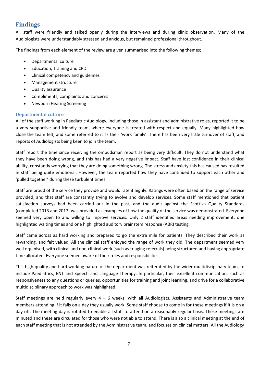## <span id="page-6-0"></span>**Findings**

All staff were friendly and talked openly during the interviews and during clinic observation. Many of the Audiologists were understandably stressed and anxious, but remained professional throughout.

The findings from each element of the review are given summarised into the following themes;

- Departmental culture
- Education, Training and CPD
- Clinical competency and guidelines
- Management structure
- Quality assurance
- Compliments, complaints and concerns
- Newborn Hearing Screening

## <span id="page-6-1"></span>**Departmental culture**

All of the staff working in Paediatric Audiology, including those in assistant and administrative roles, reported it to be a very supportive and friendly team, where everyone is treated with respect and equally. Many highlighted how close the team felt, and some referred to it as their 'work family'. There has been very little turnover of staff, and reports of Audiologists being keen to join the team.

Staff report the time since receiving the ombudsman report as being very difficult. They do not understand what they have been doing wrong, and this has had a very negative impact. Staff have lost confidence in their clinical ability, constantly worrying that they are doing something wrong. The stress and anxiety this has caused has resulted in staff being quite emotional. However, the team reported how they have continued to support each other and 'pulled together' during these turbulent times.

Staff are proud of the service they provide and would rate it highly. Ratings were often based on the range of service provided, and that staff are constantly trying to evolve and develop services. Some staff mentioned that patient satisfaction surveys had been carried out in the past, and the audit against the Scottish Quality Standards (completed 2013 and 2017) was provided as examples of how the quality of the service was demonstrated. Everyone seemed very open to and willing to improve services. Only 2 staff identified areas needing improvement; one highlighted waiting times and one highlighted auditory brainstem response (ABR) testing.

Staff came across as hard working and prepared to go the extra mile for patients. They described their work as rewarding, and felt valued. All the clinical staff enjoyed the range of work they did. The department seemed very well organised, with clinical and non-clinical work (such as triaging referrals) being structured and having appropriate time allocated. Everyone seemed aware of their roles and responsibilities.

This high quality and hard working nature of the department was reiterated by the wider multidisciplinary team, to include Paediatrics, ENT and Speech and Language Therapy. In particular, their excellent communication, such as responsiveness to any questions or queries, opportunities for training and joint learning, and drive for a collaborative multidisciplinary approach to work was highlighted.

Staff meetings are held regularly every  $4 - 6$  weeks, with all Audiologists, Assistants and Administrative team members attending if it falls on a day they usually work. Some staff choose to come in for these meetings if it is on a day off. The meeting day is rotated to enable all staff to attend on a reasonably regular basis. These meetings are minuted and these are circulated for those who were not able to attend. There is also a clinical meeting at the end of each staff meeting that is not attended by the Administrative team, and focuses on clinical matters. All the Audiology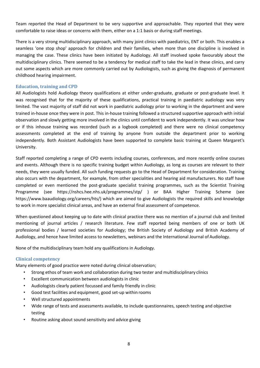Team reported the Head of Department to be very supportive and approachable. They reported that they were comfortable to raise ideas or concerns with them, either on a 1:1 basis or during staff meetings.

There is a very strong multidisciplinary approach, with many joint clinics with paediatrics, ENT or both. This enables a seamless 'one stop shop' approach for children and their families, when more than one discipline is involved in managing the case. These clinics have been initiated by Audiology. All staff involved spoke favourably about the multidisciplinary clinics. There seemed to be a tendency for medical staff to take the lead in these clinics, and carry out some aspects which are more commonly carried out by Audiologists, such as giving the diagnosis of permanent childhood hearing impairment.

## <span id="page-7-0"></span>**Education, training and CPD**

All Audiologists hold Audiology theory qualifications at either under-graduate, graduate or post-graduate level. It was recognised that for the majority of these qualifications, practical training in paediatric audiology was very limited. The vast majority of staff did not work in paediatric audiology prior to working in the department and were trained in-house once they were in post. This in-house training followed a structured supportive approach with initial observation and slowly getting more involved in the clinics until confident to work independently. It was unclear how or if this inhouse training was recorded (such as a logbook completed) and there were no clinical competency assessments completed at the end of training by anyone from outside the department prior to working independently. Both Assistant Audiologists have been supported to complete basic training at Queen Margaret's University.

Staff reported completing a range of CPD events including courses, conferences, and more recently online courses and events. Although there is no specific training budget within Audiology, as long as courses are relevant to their needs, they were usually funded. All such funding requests go to the Head of Department for consideration. Training also occurs with the department, for example, from other specialities and hearing aid manufacturers. No staff have completed or even mentioned the post-graduate specialist training programmes, such as the Scientist Training Programme (see https://nshcs.hee.nhs.uk/programmes/stp/ ) or BAA Higher Training Scheme (see https:/[/www.baaudiology.org/careers/hts/\)](http://www.baaudiology.org/careers/hts/)) which are aimed to give Audiologists the required skills and knowledge to work in more specialist clinical areas, and have an external final assessment of competence.

When questioned about keeping up to date with clinical practice there was no mention of a journal club and limited mentioning of journal articles / research literature. Few staff reported being members of one or both UK professional bodies / learned societies for Audiology; the British Society of Audiology and British Academy of Audiology, and hence have limited access to newsletters, webinars and the International Journal of Audiology.

None of the multidisciplinary team hold any qualifications in Audiology.

## <span id="page-7-1"></span>**Clinical competency**

Many elements of good practice were noted during clinical observation;

- Strong ethos of team work and collaboration during two tester and multidisciplinary clinics
- Excellent communication between audiologists in clinic
- Audiologists clearly patient focussed and family friendly in clinic
- Good test facilities and equipment, good set-up within rooms
- Well structured appointments
- Wide range of tests and assessments available, to include questionnaires, speech testing and objective testing
- Routine asking about sound sensitivity and advice giving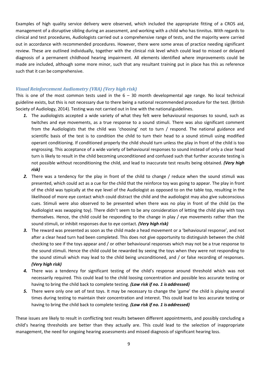Examples of high quality service delivery were observed, which included the appropriate fitting of a CROS aid, management of a disruptive sibling during an assessment, and working with a child who has tinnitus. With regards to clinical and test procedures, Audiologists carried out a comprehensive range of tests, and the majority were carried out in accordance with recommended procedures. However, there were some areas of practice needing significant review. These are outlined individually, together with the clinical risk level which could lead to missed or delayed diagnosis of a permanent childhood hearing impairment. All elements identified where improvements could be made are included, although some more minor, such that any resultant training put in place has this as reference such that it can be comprehensive.

## *Visual Reinforcement Audiometry (VRA) (Very high risk)*

This is one of the most common tests used in the  $6 - 30$  month developmental age range. No local technical guideline exists, but this is not necessary due to there being a national recommended procedure for the test. (British Society of Audiology, 2014). Testing was not carried out in line with the national guidelines.

- *1.* The audiologists accepted a wide variety of what they felt were behavioural responses to sound, such as twitches and eye movements, as a true response to a sound stimuli. There was also significant comment from the Audiologists that the child was 'choosing' not to turn / respond. The national guidance and scientific basis of the test is to condition the child to turn their head to a sound stimuli using modified operant conditioning. If conditioned properly the child should turn unless the play in front of the child is too engrossing. This acceptance of a wide variety of behavioural responses to sound instead of only a clear head turn is likely to result in the child becoming unconditioned and confused such that further accurate testing is not possible without reconditioning the child, and lead to inaccurate test results being obtained. *(Very high risk)*
- 2. There was a tendency for the play in front of the child to change / reduce when the sound stimuli was presented, which could act as a cue for the child that the reinforce toy was going to appear. The play in front of the child was typically at the eye level of the Audiologist as opposed to on the table top, resulting in the likelihood of more eye contact which could distract the child and the audiologist may also give subconscious cues. Stimuli were also observed to be presented when there was no play in front of the child (as the Audiologist was swapping toy). There didn't seem to be any consideration of letting the child play with toys themselves. Hence, the child could be responding to the change in play / eye movements rather than the sound stimuli, or inhibit responses due to eye contact. *(Very high risk)*
- *3.* The reward was presented as soon as the child made a head movement or a 'behavioural response', and not after a clear head turn had been completed. This does not give opportunity to distinguish between the child checking to see if the toys appear and / or other behavioural responses which may not be a true response to the sound stimuli. Hence the child could be rewarded by seeing the toys when they were not responding to the sound stimuli which may lead to the child being unconditioned, and / or false recording of responses. *(Very high risk)*
- *4.* There was a tendency for significant testing of the child's response around threshold which was not necessarily required. This could lead to the child loosing concentration and possible less accurate testing or having to bring the child back to complete testing. *(Low risk if no. 1 is addressed)*
- *5.* There were only one set of test toys. It may be necessary to change the 'game' the child is playing several times during testing to maintain their concentration and interest. This could lead to less accurate testing or having to bring the child back to complete testing. *(Low risk if no. 1 is addressed)*

These issues are likely to result in conflicting test results between different appointments, and possibly concluding a child's hearing thresholds are better than they actually are. This could lead to the selection of inappropriate management, the need for ongoing hearing assessments and missed diagnosis of significant hearing loss.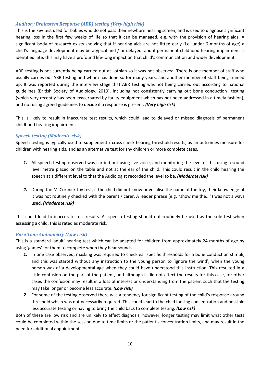## *Auditory Brainstem Response (ABR) testing (Very high risk)*

This is the key test used for babies who do not pass their newborn hearing screen, and is used to diagnose significant hearing loss in the first few weeks of life so that it can be managed, e.g. with the provision of hearing aids. A significant body of research exists showing that if hearing aids are not fitted early (i.e. under 6 months of age) a child's language development may be atypical and / or delayed, and if permanent childhood hearing impairment is identified late, this may have a profound life-long impact on that child's communication and wider development.

ABR testing is not currently being carried out at Lothian so it was not observed. There is one member of staff who usually carries out ABR testing and whom has done so for many years, and another member of staff being trained up. It was reported during the interview stage that ABR testing was not being carried out according to national guidelines (British Society of Audiology, 2019), including not consistently carrying out bone conduction testing (which very recently has been exacerbated by faulty equipment which has not been addressed in a timely fashion), and not using agreed guidelines to decide if a response is present. *(Very high risk)*

This is likely to result in inaccurate test results, which could lead to delayed or missed diagnosis of permanent childhood hearing impairment.

## *Speech testing (Moderate risk)*

Speech testing is typically used to supplement / cross check hearing threshold results, as an outcomes measure for children with hearing aids, and as an alternative test for shy children or more complete cases.

- *1.* All speech testing observed was carried out using live voice, and monitoring the level of this using a sound level metre placed on the table and not at the ear of the child. This could result in the child hearing the speech at a different level to that the Audiologist recorded the level to be. *(Moderate risk)*
- *2.* During the McCormick toy test, if the child did not know or vocalise the name of the toy, their knowledge of it was not routinely checked with the parent / carer. A leader phrase (e.g. "show me the...") was not always used. *(Moderate risk)*

This could lead to inaccurate test results. As speech testing should not routinely be used as the sole test when assessing a child, this is rated as moderate risk.

## *Pure Tone Audiometry (Low risk)*

This is a standard 'adult' hearing test which can be adapted for children from approximately 24 months of age by using 'games' for them to complete when they hear sounds.

- *1.* In one case observed, masking was required to check ear specific thresholds for a bone conduction stimuli, and this was started without any instruction to the young person to 'ignore the wind', when the young person was of a developmental age when they could have understood this instruction. This resulted in a little confusion on the part of the patient, and although it did not affect the results for this case, for other cases the confusion may result in a loss of interest or understanding from the patient such that the testing may take longer or become less accurate. *(Low risk)*
- *2.* For some of the testing observed there was a tendency for significant testing of the child's response around threshold which was not necessarily required. This could lead to the child loosing concentration and possible less accurate testing or having to bring the child back to complete testing. *(Low risk)*

Both of these are low risk and are unlikely to affect diagnosis, however, longer testing may limit what other tests could be completed within the session due to time limits or the patient's concentration limits, and may result in the need for additional appointments.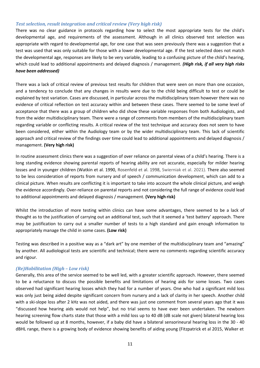## *Test selection, result integration and critical review (Very high risk)*

There was no clear guidance in protocols regarding how to select the most appropriate tests for the child's developmental age, and requirements of the assessment. Although in all clinics observed test selection was appropriate with regard to developmental age, for one case that was seen previously there was a suggestion that a test was used that was only suitable for those with a lower developmental age. If the test selected does not match the developmental age, responses are likely to be very variable, leading to a confusing picture of the child's hearing, which could lead to additional appointments and delayed diagnosis / management. *(High risk, if all very high risks have been addressed)*

There was a lack of critical review of previous test results for children that were seen on more than one occasion, and a tendency to conclude that any changes in results were due to the child being difficult to test or could be explained by test variation. Cases are discussed, in particular across the multidisciplinary team however there was no evidence of critical reflection on test accuracy within and between these cases. There seemed to be some level of acceptance that there was a group of children who did show these variable responses from both Audiologists, and from the wider multidisciplinary team. There were a range of comments from members of the multidisciplinary team regarding variable or conflicting results. A critical review of the test technique and accuracy does not seem to have been considered, either within the Audiology team or by the wider multidisciplinary team. This lack of scientific approach and critical review of the findings over time could lead to additional appointments and delayed diagnosis / management. **(Very high risk)**

In routine assessment clinics there was a suggestion of over reliance on parental views of a child's hearing. There is a long standing evidence showing parental reports of hearing ability are not accurate, especially for milder hearing losses and in younger children (Watkin et al. 1990, Rosenfeld et al. 1998, Swierniak et al. 2021). There also seemed to be less consideration of reports from nursery and of speech / communication development, which can add to a clinical picture. When results are conflicting it is important to take into account the whole clinical picture, and weigh the evidence accordingly. Over-reliance on parental reports and not considering the full range of evidence could lead to additional appointments and delayed diagnosis / management. **(Very high risk)**

Whilst the introduction of more testing within clinics can have some advantages, there seemed to be a lack of thought as to the justification of carrying out an additional test, such that it seemed a 'test battery' approach. There may be justification to carry out a smaller number of tests to a high standard and gain enough information to appropriately manage the child in some cases. **(Low risk)**

Testing was described in a positive way as a "dark art" by one member of the multidisciplinary team and "amazing" by another. All audiological tests are scientific and technical; there were no comments regarding scientific accuracy and rigour.

## *(Re)Habilitation (High – Low risk)*

Generally, this area of the service seemed to be well led, with a greater scientific approach. However, there seemed to be a reluctance to discuss the possible benefits and limitations of hearing aids for some losses. Two cases observed had significant hearing losses which they had for a number of years. One who had a significant mild loss was only just being aided despite significant concern from nursery and a lack of clarity in her speech. Another child with a ski-slope loss after 2 kHz was not aided, and there was just one comment from several years ago that it was "discussed how hearing aids would not help", but no trial seems to have ever been undertaken. The newborn hearing screening flow charts state that those with a mild loss up to 40 dB (dB scale not given) bilateral hearing loss would be followed up at 8 months, however, if a baby did have a bilateral sensorineural hearing loss in the 30 - 40 dBHL range, there is a growing body of evidence showing benefits of aiding young (Fitzpatrick et al 2015, Walker et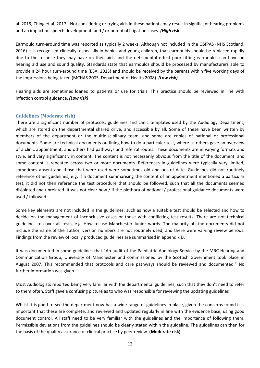al. 2015, Ching et al. 2017). Not considering or trying aids in these patients may result in significant hearing problems and an impact on speech development, and / or potential litigation cases. *(High risk*)

Earmould turn-around time was reported as typically 2 weeks. Although not included in the QSfPAS (NHS Scotland, 2016) it is recognised clinically, especially in babies and young children, that earmoulds should be replaced rapidly due to the reliance they may have on their aids and the detrimental effect poor fitting earmoulds can have on hearing aid use and sound quality. Standards state that earmoulds should be processed by manufacturers able to provide a 24 hour turn-around time (BSA, 2013) and should be received by the parents within five working days of the impressions being taken (MCHAS 2005, Department of Health 2008). *(Low risk)*

Hearing aids are sometimes loaned to patients or use for trials. This practice should be reviewed in line with infection control guidance. *(Low risk)*

## <span id="page-11-0"></span>**Guidelines (Moderate risk)**

There are a significant number of protocols, guidelines and clinic templates used by the Audiology Department, which are stored on the departmental shared drive, and accessible by all. Some of these have been written by members of the department or the multidisciplinary team, and some are copies of national or professional documents. Some are technical documents outlining how to do a particular test, where as others gave an overview of a clinic appointment, and others had pathways and referral routes. These documents are in varying formats and style, and vary significantly in content. The content is not necessarily obvious from the title of the document, and some content is repeated across two or more documents. References in guidelines were typically very limited, sometimes absent and those that were used were sometimes old and out of date. Guidelines did not routinely reference other guidelines, e.g. if a document summarising the content of an appointment mentioned a particular test, it did not then reference the test procedure that should be followed, such that all the documents seemed disjointed and unrelated. It was not clear how / if the plethora of national / professional guidance documents were used / followed.

Some key elements are not included in the guidelines, such as how a suitable test should be selected and how to decide on the management of inconclusive cases or those with conflicting test results. There are not technical guidelines to cover all tests, e.g. How to use Manchester Junior words. The majority off the documents did not include the name of the author, version numbers are not routinely used, and there were varying review periods. Findings from the review of locally produced guidelines are summarised in appendix D.

It was documented in some guidelines that "An audit of the Paediatric Audiology Service by the MRC Hearing and Communication Group, University of Manchester and commissioned by the Scottish Government took place in August 2007. This recommended that protocols and care pathways should be reviewed and documented." No further information was given.

Most Audiologists reported being very familiar with the departmental guidelines, such that they don't need to refer to them often. Staff gave a confusing picture as to who was responsible for reviewing the updating guidelines

Whilst it is good to see the department now has a wide range of guidelines in place, given the concerns found it is important that these are complete, and reviewed and updated regularly in line with the evidence base, using good document control. All staff need to be very familiar with the guidelines and the importance of following them. Permissible deviations from the guidelines should be clearly stated within the guideline. The guidelines can then for the basis of the quality assurance of clinical practice by peer review. **(Moderate risk)**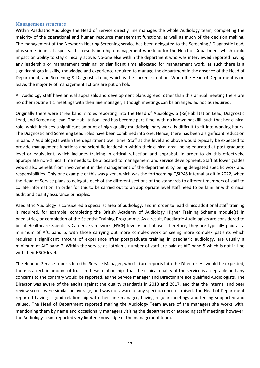#### <span id="page-12-0"></span>**Management structure**

Within Paediatric Audiology the Head of Service directly line manages the whole Audiology team, completing the majority of the operational and human resource management functions, as well as much of the decision making. The management of the Newborn Hearing Screening service has been delegated to the Screening / Diagnostic Lead, plus some financial aspects. This results in a high management workload for the Head of Department which could impact on ability to stay clinically active. No-one else within the department who was interviewed reported having any leadership or management training, or significant time allocated for management work, as such there is a significant gap in skills, knowledge and experience required to manage the department in the absence of the Head of Department, and Screening & Diagnostic Lead, which is the current situation. When the Head of Department is on leave, the majority of management actions are put on hold.

All Audiology staff have annual appraisals and development plans agreed, other than this annual meeting there are no other routine 1:1 meetings with their line manager, although meetings can be arranged ad hoc as required.

Originally there were three band 7 roles reporting into the Head of Audiology, a (Re)Habilitation Lead, Diagnostic Lead, and Screening Lead. The Habilitation Lead has become part-time, with no known backfill, such that her clinical role, which includes a significant amount of high quality multidisciplinary work, is difficult to fit into working hours. The Diagnostic and Screening Lead roles have been combined into one. Hence, there has been a significant reduction in band 7 Audiologists within the department over time. Staff at this level and above would typically be expected to provide management functions and scientific leadership within their clinical area, being educated at post graduate level or equivalent, which includes training in critical reflection and appraisal. In order to do this effectively, appropriate non-clinical time needs to be allocated to management and service development. Staff at lower grades would also benefit from involvement in the management of the department by being delegated specific work and responsibilities. Only one example of this was given, which was the forthcoming QSfPAS internal audit in 2022, when the Head of Service plans to delegate each of the different sections of the standards to different members of staff to collate information. In order for this to be carried out to an appropriate level staff need to be familiar with clinical audit and quality assurance principles.

Paediatric Audiology is considered a specialist area of audiology, and in order to lead clinics additional staff training is required, for example, completing the British Academy of Audiology Higher Training Scheme module(s) in paediatrics, or completion of the Scientist Training Programme. As a result, Paediatric Audiologists are considered to be at Healthcare Scientists Careers Framework (HSCF) level 6 and above. Therefore, they are typically paid at a minimum of AfC band 6, with those carrying out more complex work or seeing more complex patients which requires a significant amount of experience after postgraduate training in paediatric audiology, are usually a minimum of AfC band 7. Within the service at Lothian a number of staff are paid at AfC band 5 which is not in-line with their HSCF level.

The Head of Service reports into the Service Manager, who in turn reports into the Director. As would be expected, there is a certain amount of trust in these relationships that the clinical quality of the service is acceptable and any concerns to the contrary would be reported, as the Service manager and Director are not qualified Audiologists. The Director was aware of the audits against the quality standards in 2013 and 2017, and that the internal and peer review scores were similar on average, and was not aware of any specific concerns raised. The Head of Department reported having a good relationship with their line manager, having regular meetings and feeling supported and valued. The Head of Department reported making the Audiology Team aware of the managers she works with, mentioning them by name and occasionally managers visiting the department or attending staff meetings however, the Audiology Team reported very limited knowledge of the management team.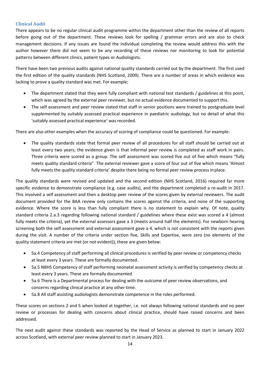## <span id="page-13-0"></span>**Clinical Audit**

There appears to be no regular clinical audit programme within the department other than the review of all reports before going out of the department. These reviews look for spelling / grammar errors and are also to check management decisions. If any issues are found the individual completing the review would address this with the author however there did not seem to be any recording of these reviews nor monitoring to look for potential patterns between different clinics, patient types or Audiologists.

There have been two previous audits against national quality standards carried out by the department. The first used the first edition of the quality standards (NHS Scotland, 2009). There are a number of areas in which evidence was lacking to prove a quality standard was met. For example;

- The department stated that they were fully compliant with national test standards / guidelines at this point, which was agreed by the external peer reviewer, but no actual evidence documented to support this.
- The self assessment and peer review stated that staff in senior positions were trained to postgraduate level supplemented by suitably assessed practical experience in paediatric audiology, but no detail of what this 'suitably assessed practical experience' was recorded.

There are also other examples when the accuracy of scoring of compliance could be questioned. For example:

• The quality standards state that formal peer review of all procedures for all staff should be carried out at least every two years; the evidence given is that informal peer review is completed as staff work in pairs. Three criteria were scored as a group. The self assessment was scored five out of five which means "fully meets quality standard criteria". The external reviewer gave a score of four out of five which means 'Almost fully meets the quality standard criteria' despite there being no formal peer review process in place.

The quality standards were revised and updated and the second edition (NHS Scotland, 2016) required far more specific evidence to demonstrate compliance (e.g. case audits), and the department completed a re-audit in 2017. This involved a self assessment and then a desktop peer review of the scores given by external reviewers. The audit document provided for the BAA review only contains the scores against the criteria, and none of the supporting evidence. Where the score is less than fully compliant there is no statement to explain why. Of note, quality standard criteria 2.a.3 regarding following national standard / guidelines where these exist was scored a 4 (almost fully meets the criteria), yet the external assessors gave a 3 (meets around half the elements). For newborn hearing screening both the self assessment and external assessment gave a 4, which is not consistent with the reports given during the visit. A number of the criteria under section five, Skills and Expertise, were zero (no elements of the quality statement criteria are met (or not evident)), these are given below:

- 5a.4 Competency of staff performing all clinical procedures is verified by peer review or competency checks at least every 3 years. These are formally documented.
- 5a.5 NBHS Competency of staff performing neonatal assessment activity is verified by competency checks at least every 3 years. These are formally documented
- 5a.6 There is a Departmental process for dealing with the outcome of peer review observations, and concerns regarding clinical practice at any other time.
- 5a.8 All staff assisting audiologists demonstrate competence in the roles performed.

These scores on sections 2 and 5 when looked at together, i.e. not always following national standards and no peer review or processes for dealing with concerns about clinical practice, should have raised concerns and been addressed.

The next audit against these standards was reported by the Head of Service as planned to start in January 2022 across Scotland, with external peer review planned to start in January 2023.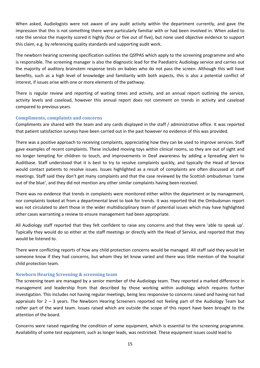When asked, Audiologists were not aware of any audit activity within the department currently, and gave the impression that this is not something there were particularly familiar with or had been involved in. When asked to rate the service the majority scored it highly (four or five out of five), but none used objective evidence to support this claim, e.g. by referencing quality standards and supporting audit work.

The newborn hearing screening specification outlines the QSfPAS which apply to the screening programme and who is responsible. The screening manager is also the diagnostic lead for the Paediatric Audiology service and carries out the majority of auditory brainstem response tests on babies who do not pass the screen. Although this will have benefits, such as a high level of knowledge and familiarity with both aspects, this is also a potential conflict of interest, if issues arise with one or more elements of the pathway.

There is regular review and reporting of waiting times and activity, and an annual report outlining the service, activity levels and caseload, however this annual report does not comment on trends in activity and caseload compared to previous years.

## <span id="page-14-0"></span>**Compliments, complaints and concerns**

Compliments are shared with the team and any cards displayed in the staff / administrative office. It was reported that patient satisfaction surveys have been carried out in the past however no evidence of this was provided.

There was a positive approach to receiving complaints, appreciating how they can be used to improve services. Staff gave examples of recent complaints. These included moving toys within clinical rooms, so they are out of sight and no longer tempting for children to touch, and improvements in Deaf awareness by adding a lipreading alert to Auditbase. Staff understood that it is best to try to resolve complaints quickly, and typically the Head of Service would contact patients to resolve issues. Issues highlighted as a result of complaints are often discussed at staff meetings. Staff said they don't get many complaints and that the case reviewed by the Scottish ombudsman 'came out of the blue', and they did not mention any other similar complaints having been received.

There was no evidence that trends in complaints were monitored either within the department or by management, nor complaints looked at from a departmental level to look for trends. It was reported that the Ombudsman report was not circulated to alert those in the wider multidisciplinary team of potential issues which may have highlighted other cases warranting a review to ensure management had been appropriate.

All Audiology staff reported that they felt confident to raise any concerns and that they were 'able to speak up'. Typically they would do so either at the staff meetings or directly with the Head of Service, and reported that they would be listened to.

There were conflicting reports of how any child protection concerns would be managed. All staff said they would let someone know if they had concerns, but whom they let know varied and there was little mention of the hospital child protection team.

## <span id="page-14-1"></span>**Newborn Hearing Screening & screening team**

The screening team are managed by a senior member of the Audiology team. They reported a marked difference in management and leadership from that described by those working within audiology which requires further investigation. This includes not having regular meetings, being less responsive to concerns raised and having not had appraisals for 2 – 3 years. The Newborn Hearing Screeners reported not feeling part of the Audiology Team but rather part of the ward team. Issues raised which are outside the scope of this report have been brought to the attention of the board.

Concerns were raised regarding the condition of some equipment, which is essential to the screening programme. Availability of some test equipment, such as longer leads, was restricted. These equipment issues could lead to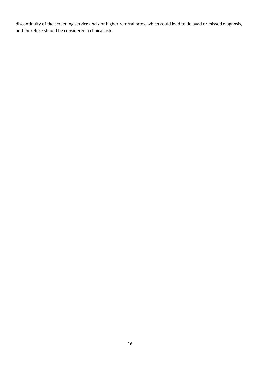discontinuity of the screening service and / or higher referral rates, which could lead to delayed or missed diagnosis, and therefore should be considered a clinical risk.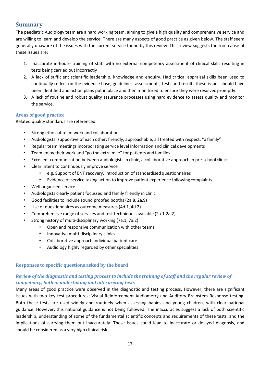## <span id="page-16-0"></span>**Summary**

The paediatric Audiology team are a hard working team, aiming to give a high quality and comprehensive service and are willing to learn and develop the service. There are many aspects of good practice as given below. The staff seem generally unaware of the issues with the current service found by this review. This review suggests the root cause of these issues are:

- 1. Inaccurate in-house training of staff with no external competency assessment of clinical skills resulting in tests being carried out incorrectly
- 2. A lack of sufficient scientific leadership, knowledge and enquiry. Had critical appraisal skills been used to continually reflect on the evidence base, guidelines, assessments, tests and results these issues should have been identified and action plans put in place and then monitored to ensure they were resolved promptly.
- 3. A lack of routine and robust quality assurance processes using hard evidence to assess quality and monitor the service.

## <span id="page-16-1"></span>**Areas of good practice**

Related quality standards are referenced.

- Strong ethos of team work and collaboration
- Audiologists: supportive of each other, friendly, approachable, all treated with respect, "a family"
- Regular team meetings incorporating service level information and clinical developments
- Team enjoy their work and "go the extra mile" for patients and families
- Excellent communication between audiologists in clinic, a collaborative approach in pre-school clinics
- Clear intent to continuously improve service
	- e.g. Support of ENT recovery, Introduction of standardised questionnaires
	- Evidence of service taking action to improve patient experience following complaints
- Well organised service
- Audiologists clearly patient focussed and family friendly in clinic
- Good facilities to include sound proofed booths (2a.8, 2a.9)
- Use of questionnaires as outcome measures (4d.1, 4d.2)
	- Comprehensive range of services and test techniques available (2a.1,2a.2)
- Strong history of multi-disciplinary working (7a.1, 7a.2)
	- Open and responsive communication with other teams
	- Innovative multi-disciplinary clinics
	- Collaborative approach individual patient care
	- Audiology highly regarded by other specialities

## <span id="page-16-2"></span>**Responses to specific questions asked by the board**

## *Review of the diagnostic and testing process to include the training of staff and the regular review of competency, both in undertaking and interpreting tests*

Many areas of good practice were observed in the diagnostic and testing process. However, there are significant issues with two key test procedures; Visual Reinforcement Audiometry and Auditory Brainstem Response testing. Both these tests are used widely and routinely when assessing babies and young children, with clear national guidance. However, this national guidance is not being followed. The inaccuracies suggest a lack of both scientific leadership, understanding of some of the fundamental scientific concepts and requirements of these tests, and the implications of carrying them out inaccurately. These issues could lead to inaccurate or delayed diagnosis, and should be considered as a very high clinical risk.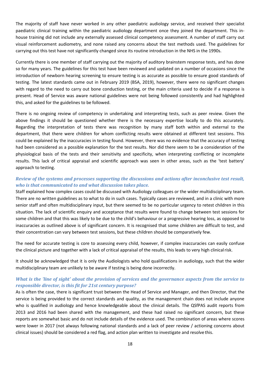The majority of staff have never worked in any other paediatric audiology service, and received their specialist paediatric clinical training within the paediatric audiology department once they joined the department. This inhouse training did not include any externally assessed clinical competency assessment. A number of staff carry out visual reinforcement audiometry, and none raised any concerns about the test methods used. The guidelines for carrying out this test have not significantly changed since its routine introduction in the NHS in the 1990s.

Currently there is one member of staff carrying out the majority of auditory brainstem response tests, and has done so for many years. The guidelines for this test have been reviewed and updated on a number of occasions since the introduction of newborn hearing screening to ensure testing is as accurate as possible to ensure good standards of testing. The latest standards came out in February 2019 (BSA, 2019), however, there were no significant changes with regard to the need to carry out bone conduction testing, or the main criteria used to decide if a response is present. Head of Service was aware national guidelines were not being followed consistently and had highlighted this, and asked for the guidelines to be followed.

There is no ongoing review of competency in undertaking and interpreting tests, such as peer review. Given the above findings it should be questioned whether there is the necessary expertise locally to do this accurately. Regarding the interpretation of tests there was recognition by many staff both within and external to the department, that there were children for whom conflicting results were obtained at different test sessions. This could be explained by the inaccuracies in testing found. However, there was no evidence that the accuracy of testing had been considered as a possible explanation for the test results. Nor did there seem to be a consideration of the physiological basis of the tests and their sensitivity and specificity, when interpreting conflicting or incomplete results. This lack of critical appraisal and scientific approach was seen in other areas, such as the 'test battery' approach to testing.

## *Review of the systems and processes supporting the discussions and actions after inconclusive test result, who is that communicated to and what discussion takes place.*

Staff explained how complex cases could be discussed with Audiology colleagues or the wider multidisciplinary team. There are no written guidelines as to what to do in such cases. Typically cases are reviewed, and in a clinic with more senior staff and often multidisciplinary input, but there seemed to be no particular urgency to retest children in this situation. The lack of scientific enquiry and acceptance that results were found to change between test sessions for some children and that this was likely to be due to the child's behaviour or a progressive hearing loss, as opposed to inaccuracies as outlined above is of significant concern. It is recognised that some children are difficult to test, and their concentration can vary between test sessions, but these children should be comparatively few.

The need for accurate testing is core to assessing every child, however, if complex inaccuracies can easily confuse the clinical picture and together with a lack of critical appraisal of the results, this leads to very high clinicalrisk.

It should be acknowledged that it is only the Audiologists who hold qualifications in audiology, such that the wider multidisciplinary team are unlikely to be aware if testing is being done incorrectly.

## *What is the 'line of sight' about the provision of services and the governance aspects from the service to responsible director, is this fit for 21st century purpose?*

As is often the case, there is significant trust between the Head of Service and Manager, and then Director, that the service is being provided to the correct standards and quality, as the management chain does not include anyone who is qualified in audiology and hence knowledgeable about the clinical details. The QSfPAS audit reports from 2013 and 2016 had been shared with the management, and these had raised no significant concern, but these reports are somewhat basic and do not include details of the evidence used. The combination of areas where scores were lower in 2017 (not always following national standards and a lack of peer review / actioning concerns about clinical issues) should be considered a red flag, and action plan written to investigate and resolve this.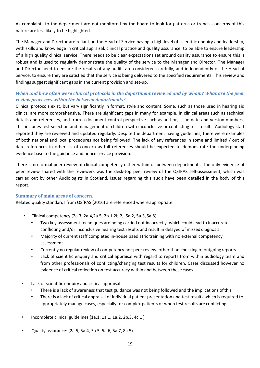As complaints to the department are not monitored by the board to look for patterns or trends, concerns of this nature are less likely to be highlighted.

The Manager and Director are reliant on the Head of Service having a high level of scientific enquiry and leadership, with skills and knowledge in critical appraisal, clinical practice and quality assurance, to be able to ensure leadership of a high quality clinical service. There needs to be clear expectations set around quality assurance to ensure this is robust and is used to regularly demonstrate the quality of the service to the Manager and Director. The Manager and Director need to ensure the results of any audits are considered carefully, and independently of the Head of Service, to ensure they are satisfied that the service is being delivered to the specified requirements. This review and findings suggest significant gaps in the current provision and set-up.

## *When and how often were clinical protocols in the department reviewed and by whom? What are the peer review processes within the between departments?*

Clinical protocols exist, but vary significantly in format, style and content. Some, such as those used in hearing aid clinics, are more comprehensive. There are significant gaps in many for example, in clinical areas such as technical details and references, and from a document control perspective such as author, issue date and version numbers. This includes test selection and management of children with inconclusive or conflicting test results. Audiology staff reported they are reviewed and updated regularly. Despite the department having guidelines, there were examples of both national and local procedures not being followed. The lack of any references in some and limited / out of date references in others is of concern as full references should be expected to demonstrate the underpinning evidence base to the guidance and hence service provision.

There is no formal peer review of clinical competency either within or between departments. The only evidence of peer review shared with the reviewers was the desk-top peer review of the QSfPAS self-assessment, which was carried out by other Audiologists in Scotland. Issues regarding this audit have been detailed in the body of this report.

## <span id="page-18-0"></span>**Summary of main areas of concern.**

Related quality standards from QSfPAS (2016) are referenced where appropriate.

- Clinical competency (2a.3, 2a.4,2a.5, 2b.1,2b.2, 5a.2, 5a.3, 5a.8)
	- Two key assessment techniques are being carried out incorrectly, which could lead to inaccurate, conflicting and/or inconclusive hearing test results and result in delayed of missed diagnosis
	- Majority of current staff completed in-house paediatric training with no external competency assessment
	- Currently no regular review of competency nor peer review, other than checking of outgoing reports
	- Lack of scientific enquiry and critical appraisal with regard to reports from within audiology team and from other professionals of conflicting/changing test results for children. Cases discussed however no evidence of critical reflection on test accuracy within and between these cases
- Lack of scientific enquiry and critical appraisal
	- There is a lack of awareness that test guidance was not being followed and the implications of this
	- There is a lack of critical appraisal of individual patient presentation and test results which is required to appropriately manage cases, especially for complex patients or when test results are conflicting
- Incomplete clinical guidelines (1a.1, 1a.1, 1a.2, 2b.3, 4c.1 )
- Quality assurance: (2a.5, 5a.4, 5a.5, 5a.6, 5a.7, 8a.5)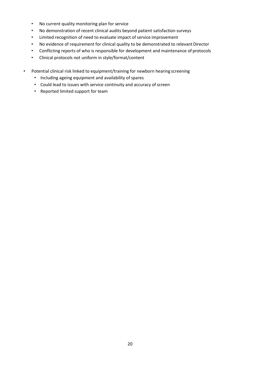- No current quality monitoring plan for service
- No demonstration of recent clinical audits beyond patient satisfaction surveys
- Limited recognition of need to evaluate impact of service improvement
- No evidence of requirement for clinical quality to be demonstrated to relevant Director
- Conflicting reports of who is responsible for development and maintenance of protocols
- Clinical protocols not uniform in style/format/content
- Potential clinical risk linked to equipment/training for newborn hearing screening
	- Including ageing equipment and availability of spares
	- Could lead to issues with service continuity and accuracy of screen
	- Reported limited support for team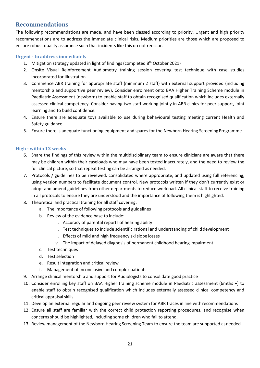## <span id="page-20-0"></span>**Recommendations**

The following recommendations are made, and have been classed according to priority. Urgent and high priority recommendations are to address the immediate clinical risks. Medium priorities are those which are proposed to ensure robust quality assurance such that incidents like this do not reoccur.

## <span id="page-20-1"></span>**Urgent - to address immediately**

- 1. Mitigation strategy updated in light of findings (completed  $8<sup>th</sup>$  October 2021)
- 2. Onsite Visual Reinforcement Audiometry training session covering test technique with case studies incorporated for illustration
- 3. Commence ABR training for appropriate staff (minimum 2 staff) with external support provided (including mentorship and supportive peer review). Consider enrolment onto BAA Higher Training Scheme module in Paediatric Assessment (newborn) to enable staff to obtain recognised qualification which includes externally assessed clinical competency. Consider having two staff working jointly in ABR clinics for peer support, joint learning and to build confidence.
- 4. Ensure there are adequate toys available to use during behavioural testing meeting current Health and Safety guidance
- 5. Ensure there is adequate functioning equipment and spares for the Newborn Hearing ScreeningProgramme

## <span id="page-20-2"></span>**High - within 12 weeks**

- 6. Share the findings of this review within the multidisciplinary team to ensure clinicians are aware that there may be children within their caseloads who may have been tested inaccurately, and the need to review the full clinical picture, so that repeat testing can be arranged as needed.
- 7. Protocols / guidelines to be reviewed, consolidated where appropriate, and updated using full referencing, using version numbers to facilitate document control. New protocols written if they don't currently exist or adopt and amend guidelines from other departments to reduce workload. All clinical staff to receive training in all protocols to ensure they are understood and the importance of following them is highlighted.
- 8. Theoretical and practical training for all staff covering:
	- a. The importance of following protocols and guidelines
	- b. Review of the evidence base to include:
		- i. Accuracy of parental reports of hearing ability
		- ii. Test techniques to include scientific rational and understanding of child development
		- iii. Effects of mild and high frequency ski slope losses
		- iv. The impact of delayed diagnosis of permanent childhood hearing impairment
	- c. Test techniques
	- d. Test selection
	- e. Result integration and critical review
	- f. Management of inconclusive and complex patients
- 9. Arrange clinical mentorship and support for Audiologists to consolidate good practice
- 10. Consider enrolling key staff on BAA Higher training scheme module in Paediatric assessment (6mths +) to enable staff to obtain recognised qualification which includes externally assessed clinical competency and critical appraisal skills.
- 11. Develop an external regular and ongoing peer review system for ABR traces in line with recommendations
- 12. Ensure all staff are familiar with the correct child protection reporting procedures, and recognise when concerns should be highlighted, including some children who fail to attend.
- 13. Review management of the Newborn Hearing Screening Team to ensure the team are supported asneeded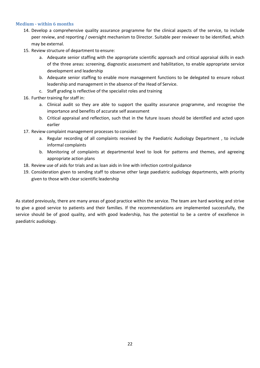## <span id="page-21-0"></span>**Medium - within 6 months**

- 14. Develop a comprehensive quality assurance programme for the clinical aspects of the service, to include peer review, and reporting / oversight mechanism to Director. Suitable peer reviewer to be identified, which may be external.
- 15. Review structure of department to ensure:
	- a. Adequate senior staffing with the appropriate scientific approach and critical appraisal skills in each of the three areas: screening, diagnostic assessment and habilitation, to enable appropriate service development and leadership
	- b. Adequate senior staffing to enable more management functions to be delegated to ensure robust leadership and management in the absence of the Head of Service.
	- c. Staff grading is reflective of the specialist roles and training
- 16. Further training for staff in:
	- a. Clinical audit so they are able to support the quality assurance programme, and recognise the importance and benefits of accurate self assessment
	- b. Critical appraisal and reflection, such that in the future issues should be identified and acted upon earlier
- 17. Review complaint management processes to consider:
	- a. Regular recording of all complaints received by the Paediatric Audiology Department , to include informal complaints
	- b. Monitoring of complaints at departmental level to look for patterns and themes, and agreeing appropriate action plans
- 18. Review use of aids for trials and as loan aids in line with infection control guidance
- 19. Consideration given to sending staff to observe other large paediatric audiology departments, with priority given to those with clear scientific leadership

As stated previously, there are many areas of good practice within the service. The team are hard working and strive to give a good service to patients and their families. If the recommendations are implemented successfully, the service should be of good quality, and with good leadership, has the potential to be a centre of excellence in paediatric audiology.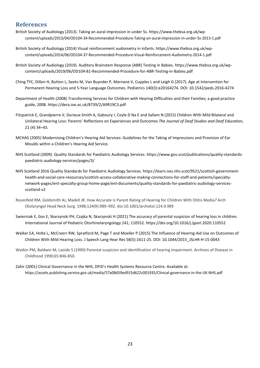## <span id="page-22-0"></span>**References**

- British Society of Audiology (2013). Taking an aural impression in under 5s. https[://www.thebsa.org.uk/wp](http://www.thebsa.org.uk/wp-)content/uploads/2013/04/OD104-34-Recommended-Procedure-Taking-an-aural-impression-in-under-5s-2013-1.pdf
- British Society of Audiology (2014) Visual reinforcement audiometry in infants. https:/[/www.thebsa.org.uk/wp](http://www.thebsa.org.uk/wp-)content/uploads/2014/06/OD104-37-Recommended-Procedure-Visual-Reinforcement-Audiometry-2014-1.pdf
- British Society of Audiology (2019). Auditory Brainstem Response (ABR) Testing in Babies. https[://www.thebsa.org.uk/wp](http://www.thebsa.org.uk/wp-)content/uploads/2019/06/OD104-81-Recommended-Procedure-for-ABR-Testing-in-Babies.pdf
- Ching TYC, Dillon H, Button L, Seeto M, Van Buynder P, Marnane V, Cupples L and Leigh G (2017). Age at Intervention for Permanent Hearing Loss and 5-Year Language Outcomes. Pediatrics 140(3):e20164274. DOI[: 10.1542/peds.2016-4274](https://doi.org/10.1542/peds.2016-4274)
- Department of Health (2008) Transforming Services for Children with Hearing Difficulties and their Families; a good practice guide, 2008. https://dera.ioe.ac.uk/8739/2/A9R19C3.pdf
- Fitzpatrick E, Grandpierre V, Durieux-Smith A, Gaboury I, Coyle D Na E and Sallam N (2015) Children With Mild Bilateral and Unilateral Hearing Loss: Parents' Reflections on Experiences and Outcomes *The Journal of Deaf Studies and Deaf Education*, 21 (4) 34–43.
- MCHAS (2005) Modernising Children's Hearing Aid Services: Guidelines for the Taking of Impressions and Provision of Ear Moulds within a Children's Hearing Aid Service.
- NHS Scotland (2009). Quality Standards for Paediatric Audiology Services. https:/[/www.gov.scot/publications/quality-standards](http://www.gov.scot/publications/quality-standards-)paediatric-audiology-services/pages/3/
- NHS Scotland 2016 Quality Standards for Paediatric Audiology Services. https://learn.nes.nhs.scot/9521/scottish-governmenthealth-and-social-care-resources/scottish-access-collaborative-making-connections-for-staff-and-patients/specialtynetwork-pages/ent-specialty-group-home-page/ent-documents/quality-standards-for-paediatric-audiology-servicesscotland-v2
- Rosenfeld RM, Goldsmith AJ, Madell JR. How Accurate Is Parent Rating of Hearing for Children With Otitis Media*?* Arch Otolaryngol Head Neck Surg. 1998;124(9):989–992. doi:10.1001/archotol.124.9.989
- Swierniak E, Gos E, Skarzynski PH, Czajka N, Skarzynski H (2021) The accuracy of parental suspicion of hearing loss in children. [International Journal of Pediatric Otorhinolaryngology 1](https://www.sciencedirect.com/science/journal/01655876)41; 110552[. https://doi.org/10.1016/j.ijporl.2020.110552](https://doi.org/10.1016/j.ijporl.2020.110552)
- Walker EA, Holte L, McCreerr RW, Spratford M, Page T and Moeller P (2015) The Influence of Hearing Aid Use on Outcomes of Children With Mild Hearing Loss. J Speech Lang Hear Res 58(5):1611-25. DOI[: 10.1044/2015\\_JSLHR-H-15-0043](https://doi.org/10.1044/2015_jslhr-h-15-0043)
- Watkin PM, Baldwin M, Laoide S (1990) Parental suspicion and identification of hearing impairment. Archives of Disease in Childhood 1990;65:846-850.
- Zahir (2001) Clinical Governance in the NHS, DFID's Health Systems Resource Centre. Available at: https://assets.publishing.service.gov.uk/media/57a08d59ed915d622c001935/Clinical-governance-in-the-UK-NHS.pdf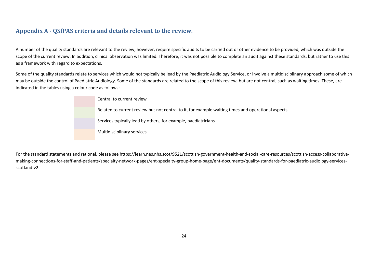## **Appendix A - QSfPAS criteria and details relevant to the review.**

A number of the quality standards are relevant to the review, however, require specific audits to be carried out or other evidence to be provided, which was outside the scope of the current review. In addition, clinical observation was limited. Therefore, it was not possible to complete an audit against these standards, but rather to use this as a framework with regard to expectations.

Some of the quality standards relate to services which would not typically be lead by the Paediatric Audiology Service, or involve a multidisciplinary approach some of which may be outside the control of Paediatric Audiology. Some of the standards are related to the scope of this review, but are not central, such as waiting times. These, are indicated in the tables using a colour code as follows:

| Central to current review                                                                          |
|----------------------------------------------------------------------------------------------------|
| Related to current review but not central to it, for example waiting times and operational aspects |
| Services typically lead by others, for example, paediatricians                                     |
| Multidisciplinary services                                                                         |

<span id="page-23-0"></span>For the standard statements and rational, please see https://learn.nes.nhs.scot/9521/scottish-government-health-and-social-care-resources/scottish-access-collaborativemaking-connections-for-staff-and-patients/specialty-network-pages/ent-specialty-group-home-page/ent-documents/quality-standards-for-paediatric-audiology-servicesscotland-v2.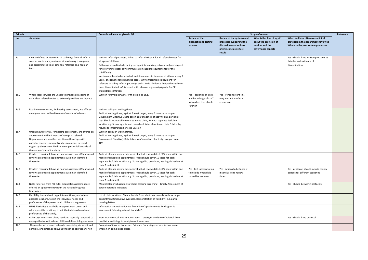| Criteria |                                                                                                                                                                                                                                                                                                                                   | Example evidence as given in QS                                                                                                                                                                                                                                                                                                                                                                                                                                                                                                                                                                                                          |                                                                                         |                                                                                                                       | <b>Scope of review</b>                                                                          |                                                                                                                | Relevance |
|----------|-----------------------------------------------------------------------------------------------------------------------------------------------------------------------------------------------------------------------------------------------------------------------------------------------------------------------------------|------------------------------------------------------------------------------------------------------------------------------------------------------------------------------------------------------------------------------------------------------------------------------------------------------------------------------------------------------------------------------------------------------------------------------------------------------------------------------------------------------------------------------------------------------------------------------------------------------------------------------------------|-----------------------------------------------------------------------------------------|-----------------------------------------------------------------------------------------------------------------------|-------------------------------------------------------------------------------------------------|----------------------------------------------------------------------------------------------------------------|-----------|
| no       | statement                                                                                                                                                                                                                                                                                                                         |                                                                                                                                                                                                                                                                                                                                                                                                                                                                                                                                                                                                                                          | <b>Review of the</b><br>diagnostic and testing<br>process                               | Review of the systems and<br>processes supporting the<br>discussions and actions<br>after inconclusive test<br>result | What is the 'line of sight'<br>about the provision of<br>services and the<br>governance aspects | When and how often were clinical<br>protocols in the department reviewed<br>What are the peer review processes |           |
| 1a.1     | Clearly defined written referral pathways from all referral<br>sources are in place, reviewed at least every three years,<br>and disseminated to all potential referrers on a regular<br>basis.                                                                                                                                   | Written referral pathways, linked to referral criteria, for all referral routes for<br>all ages of children.<br>Pathways should include timings of appointments (urgent/routine) and request<br>for referrers to detail any communication support requirements for the<br>child/family.<br>Version numbers to be included, and documents to be updated at least every 3<br>years, or sooner should changes occur. Written/electronic document for<br>referrers detailing referral pathways and criteria. Evidence that pathways have<br>been disseminated to/discussed with referrers e.g. email/Agenda for GP<br>training/presentation. |                                                                                         |                                                                                                                       |                                                                                                 | Yes - should have written protocols as<br>detailed and evidence of<br>dissemination                            |           |
| 1a.2     | Where local services are unable to provide all aspects of<br>care, clear referral routes to external providers are in place.                                                                                                                                                                                                      | Written referral pathways, with details as 1a.1.                                                                                                                                                                                                                                                                                                                                                                                                                                                                                                                                                                                         | Yes - depends on skills<br>and knowledge of staff<br>as to when they should<br>refer on | Yes - if inconsistent this<br>may warrant a referral<br>elsewhere                                                     |                                                                                                 |                                                                                                                |           |
| 1a.3     | Routine new referrals, for hearing assessment, are offered<br>an appointment within 6 weeks of receipt of referral.                                                                                                                                                                                                               | Written policy on waiting times.<br>Audit of waiting times, against 6 week target, every 3 months (or as per<br>Government Directive). Data taken as a 'snapshot' of activity on a particular<br>day. Should include all new cases in one clinic, for each separate list/clinic<br>location e.g. School age list and pre-school list at clinic A and clinic B. Monthly<br>returns to Information Services Division                                                                                                                                                                                                                       |                                                                                         |                                                                                                                       |                                                                                                 |                                                                                                                |           |
| 1a.4     | Urgent new referrals, for hearing assessment, are offered an<br>appointment within 4 weeks of receipt of referral.<br>Urgent cases are specified as: ≤6 months of age with<br>parental concern; meningitis; plus any others deemed<br>urgent by the service. Medical emergencies fall outside of<br>the scope of these Standards. | Written policy on waiting times.<br>Audit of waiting times, against 4 week target, every 3 months (or as per<br>Government Directive). Data taken as a 'snapshot' of activity on a particular<br>day.                                                                                                                                                                                                                                                                                                                                                                                                                                    |                                                                                         |                                                                                                                       |                                                                                                 |                                                                                                                |           |
| 1a.5     | Children requiring follow-up hearing assessment/hearing aid<br>reviews are offered appointments within an identified<br>timescale.                                                                                                                                                                                                | Audit of planned review date against actual review date. ≥80% seen within one<br>month of scheduled appointment. Audit should cover 10 cases for each<br>separate list/clinic location e.g. School age list, preschool, hearing aid review at<br>clinic A and clinic B.                                                                                                                                                                                                                                                                                                                                                                  |                                                                                         |                                                                                                                       |                                                                                                 |                                                                                                                |           |
| 1a.5     | Children requiring follow-up hearing assessment/hearing aid<br>reviews are offered appointments within an identified<br>timescale.                                                                                                                                                                                                | Audit of planned review date against actual review date. ≥80% seen within one<br>month of scheduled appointment. Audit should cover 10 cases for each<br>separate list/clinic location e.g. School age list, preschool, hearing aid review at<br>clinic A and clinic B.                                                                                                                                                                                                                                                                                                                                                                  | Yes - test interpretation<br>to include when child<br>should be reviewed                | Yes - actions to be taken if<br>inconclusive re review<br>times                                                       |                                                                                                 | Yes - protocols should include review<br>periods for different scenarios                                       |           |
| 1a.6     | NBHS Referrals from NBHS for diagnostic assessment are<br>offered an appointment within the nationally agreed<br>timescales                                                                                                                                                                                                       | Monthly Reports based on Newborn Hearing Screening - Timely Assessment of<br>Screen Referrals Indicator3                                                                                                                                                                                                                                                                                                                                                                                                                                                                                                                                 |                                                                                         |                                                                                                                       |                                                                                                 | Yes - should be within protocols                                                                               |           |
| 1a.7     | Flexibility is available in appointment times, and where<br>possible locations, to suit the individual needs and<br>preferences of the parents and child or young person                                                                                                                                                          | List of clinic locations. Clinic schedule from electronic records to show range<br>appointment times/days available. Demonstration of flexibility, e.g. partial<br>booking/letters.                                                                                                                                                                                                                                                                                                                                                                                                                                                      |                                                                                         |                                                                                                                       |                                                                                                 |                                                                                                                |           |
| 1a.8     | NBHS Flexibility is available in appointment times, and<br>where possible locations, to suit the individual needs and<br>preferences of the family.                                                                                                                                                                               | Information on availability and flexibility of appointments for diagnostic<br>assessment following referral from NBHS.                                                                                                                                                                                                                                                                                                                                                                                                                                                                                                                   |                                                                                         |                                                                                                                       |                                                                                                 |                                                                                                                |           |
| 1a.9     | Robust systems are in place, used and regularly reviewed, to<br>manage the transition from child to adult audiology services.                                                                                                                                                                                                     | Transition Protocol. Information sheets. Letters/or evidence of referral from<br>paediatric audiology to adult/transition service.                                                                                                                                                                                                                                                                                                                                                                                                                                                                                                       |                                                                                         |                                                                                                                       |                                                                                                 | Yes - should have protocol                                                                                     |           |
| 1b.1     | The number of incorrect referrals to audiology is monitored<br>annually, and action continuously taken to address any non-                                                                                                                                                                                                        | Examples of incorrect referrals. Evidence from triage service. Action taken<br>where non-compliance exists.                                                                                                                                                                                                                                                                                                                                                                                                                                                                                                                              |                                                                                         |                                                                                                                       |                                                                                                 |                                                                                                                |           |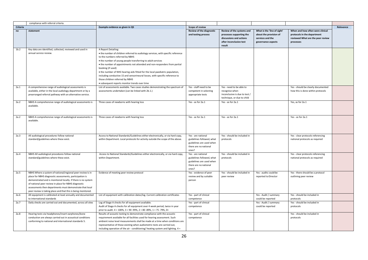|                  | compliance with referral criteria.                                                                                                                                                                                                                                                                                                                                         |                                                                                                                                                                                                                                                                                                                                                                                                                                                                                                                                                                 |                                                                                                               |                                                                                                                       |                                                                                                 |                                                                                                                   |           |
|------------------|----------------------------------------------------------------------------------------------------------------------------------------------------------------------------------------------------------------------------------------------------------------------------------------------------------------------------------------------------------------------------|-----------------------------------------------------------------------------------------------------------------------------------------------------------------------------------------------------------------------------------------------------------------------------------------------------------------------------------------------------------------------------------------------------------------------------------------------------------------------------------------------------------------------------------------------------------------|---------------------------------------------------------------------------------------------------------------|-----------------------------------------------------------------------------------------------------------------------|-------------------------------------------------------------------------------------------------|-------------------------------------------------------------------------------------------------------------------|-----------|
| Criteria         |                                                                                                                                                                                                                                                                                                                                                                            | Example evidence as given in QS                                                                                                                                                                                                                                                                                                                                                                                                                                                                                                                                 | <b>Scope of review</b>                                                                                        |                                                                                                                       |                                                                                                 |                                                                                                                   | Relevance |
| no               | statement                                                                                                                                                                                                                                                                                                                                                                  |                                                                                                                                                                                                                                                                                                                                                                                                                                                                                                                                                                 | <b>Review of the diagnostic</b><br>and testing process                                                        | Review of the systems and<br>processes supporting the<br>discussions and actions<br>after inconclusive test<br>result | What is the 'line of sight'<br>about the provision of<br>services and the<br>governance aspects | When and how often were clinical<br>protocols in the department<br>reviewed What are the peer review<br>processes |           |
| 1 <sub>b.2</sub> | Key data are identified, collected, reviewed and used in<br>annual service review.                                                                                                                                                                                                                                                                                         | A Report Detailing:<br>. the number of children referred to audiology services, with specific reference<br>to the numbers referred by NBHS<br>• the number of young people transferring to adult services<br>• the number of appointments not attended and non-responders from partial<br>booking (if used)<br>. the number of NHS hearing aids fitted for the local paediatric population,<br>including conductive 15 and sensorineural losses, with specific reference to<br>those children referred by NBHS<br>· subsequent reports monitor trends over time |                                                                                                               |                                                                                                                       |                                                                                                 |                                                                                                                   |           |
| 2a.1             | A comprehensive range of audiological assessments is<br>available, either in the local audiology department or by a<br>prearranged referral pathway with an alternative service.                                                                                                                                                                                           | List of assessments available. Two cases studies demonstrating the spectrum of<br>assessments undertaken (can be linked with 2b.1.)                                                                                                                                                                                                                                                                                                                                                                                                                             | Yes - staff need to be<br>competent in selecting<br>appropriate tests                                         | Yes - need to be able to<br>recognise when<br>inconclusive is due to test /<br>technique, or due to child             |                                                                                                 | Yes - should be clearly documented<br>how this is done within protocols                                           |           |
| 2a.2             | NBHS A comprehensive range of audiological assessments is<br>available.                                                                                                                                                                                                                                                                                                    | Three cases of newborns with hearing loss                                                                                                                                                                                                                                                                                                                                                                                                                                                                                                                       | Yes - as for 2a.1                                                                                             | Yes - as for 2a.1                                                                                                     |                                                                                                 | Yes, as for 2a.1                                                                                                  |           |
| 2a.2             | NBHS A comprehensive range of audiological assessments is<br>available.                                                                                                                                                                                                                                                                                                    | Three cases of newborns with hearing loss                                                                                                                                                                                                                                                                                                                                                                                                                                                                                                                       | Yes - as for 2a.1                                                                                             | Yes - as for 2a.1                                                                                                     |                                                                                                 | Yes - as for 2a.1                                                                                                 |           |
| 2a.3             | All audiological procedures follow national<br>standard/guidelines where these exist.                                                                                                                                                                                                                                                                                      | Access to National Standards/Guidelines either electronically, or via hard copy,<br>within Department. Local protocols for activity outside the scope of the above.                                                                                                                                                                                                                                                                                                                                                                                             | Yes - are national<br>guidelines followed, what<br>guidelines are used when<br>there are no national<br>ones? | Yes - should be included in<br>protocols                                                                              |                                                                                                 | Yes - clear protocols referencing<br>national protocols as required                                               |           |
| 2a.4             | NBHS All audiological procedures follow national<br>standard/guidelines where these exist.                                                                                                                                                                                                                                                                                 | Access to National Standards/Guidelines either electronically, or via hard copy,<br>within Department.                                                                                                                                                                                                                                                                                                                                                                                                                                                          | Yes - are national<br>guidelines followed, what<br>guidelines are used when<br>there are no national<br>ones? | Yes - should be included in<br>protocols                                                                              |                                                                                                 | Yes - clear protocols referencing<br>national protocols as required                                               |           |
| 2a.5             | NBHS Where a system of national/regional peer review is in<br>place for NBHS diagnostic assessments, participation is<br>demonstrated and is monitored locally. If there is no system<br>of national peer review in place for NBHS diagnostic<br>assessments then departments must demonstrate that local<br>peer review is taking place and that this is being monitored. | Evidence of meeting peer review protocol                                                                                                                                                                                                                                                                                                                                                                                                                                                                                                                        | Yes - evidence of peer<br>review and by suitable<br>person                                                    | Yes - should be included in<br>peer review                                                                            | Yes - audits could be<br>reported to Director                                                   | Yes - there should be a protocol<br>outlining peer review                                                         |           |
| 2a.6             | All equipment is calibrated at least annually and documented<br>to international standards                                                                                                                                                                                                                                                                                 | List of equipment with calibration dates/log. Current calibration certificates                                                                                                                                                                                                                                                                                                                                                                                                                                                                                  | Yes - part of clinical<br>competence                                                                          |                                                                                                                       | Yes - Audit / summary<br>could be reported                                                      | Yes - should be included in<br>protocols                                                                          |           |
| 2a.7             | Daily checks are carried out and documented, across all sites                                                                                                                                                                                                                                                                                                              | Log of Stage A checks for all equipment available.<br>Audit of Stage A checks for all equipment over 4 week period, twice in year<br>prior to audit. 4 = 100%, 3 = 90 -99%, 2 = 80 -89%, 1 = 75 -79%, 0=                                                                                                                                                                                                                                                                                                                                                        | Yes - part of clinical<br>competence                                                                          |                                                                                                                       | Yes - Audit / summary<br>could be reported                                                      | Yes - should be included in<br>protocols                                                                          |           |
| 2a.8             | Hearing tests via headphones/insert earphones/bone<br>conduction are always carried out in acoustical conditions<br>conforming to national and international standards 5.                                                                                                                                                                                                  | Results of acoustic testing to demonstrate compliance with the acoustic<br>requirement available for all facilities used for hearing assessment. Such<br>ambient noise level measurements shall be made at a time when conditions are<br>representative of those existing when audiometric tests are carried out,<br>including operation of the air - conditioning/ heating system and lighting. 4 =                                                                                                                                                            | Yes - part of clinical<br>competence                                                                          |                                                                                                                       |                                                                                                 | Yes - should be included in<br>protocols                                                                          |           |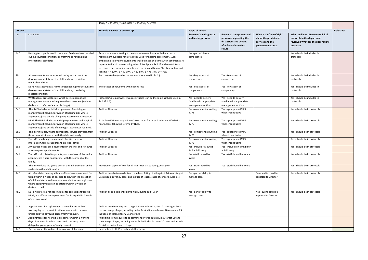|          |                                                                                                                                                                                                                                                                           | 100%, $3 = 90 - 99%$ , $2 = 80 - 89%$ , $1 = 75 - 79%$ , $0 = 75%$                                                                                                                                                                                                                                                                                                                                                                                                          |                                                                          |                                                                                                                       |                                                                                                 |                                                                                                                   |           |
|----------|---------------------------------------------------------------------------------------------------------------------------------------------------------------------------------------------------------------------------------------------------------------------------|-----------------------------------------------------------------------------------------------------------------------------------------------------------------------------------------------------------------------------------------------------------------------------------------------------------------------------------------------------------------------------------------------------------------------------------------------------------------------------|--------------------------------------------------------------------------|-----------------------------------------------------------------------------------------------------------------------|-------------------------------------------------------------------------------------------------|-------------------------------------------------------------------------------------------------------------------|-----------|
| Criteria |                                                                                                                                                                                                                                                                           | Example evidence as given in QS                                                                                                                                                                                                                                                                                                                                                                                                                                             | <b>Scope of review</b>                                                   |                                                                                                                       |                                                                                                 |                                                                                                                   | Relevance |
| no       | statement                                                                                                                                                                                                                                                                 |                                                                                                                                                                                                                                                                                                                                                                                                                                                                             | Review of the diagnostic<br>and testing process                          | Review of the systems and<br>processes supporting the<br>discussions and actions<br>after inconclusive test<br>result | What is the 'line of sight'<br>about the provision of<br>services and the<br>governance aspects | When and how often were clinical<br>protocols in the department<br>reviewed What are the peer review<br>processes |           |
| 2a.9     | Hearing tests performed in the sound field are always carried<br>out in acoustical conditions conforming to national and<br>international standards                                                                                                                       | Results of acoustic testing to demonstrate compliance with the acoustic<br>requirement available for all facilities used for hearing assessment. Such<br>ambient noise level measurements shall be made at a time when conditions are<br>representative of those existing when 5 See Appendix 2 19 audiometric tests<br>are carried out, including operation of the air conditioning/ heating system and<br>lighting. 4 = 100%, 3 = 90-99%, 2 = 80-89%, 1 = 75-79%, 0= <75% | Yes - part of clinical<br>competence                                     |                                                                                                                       |                                                                                                 | Yes - should be included in<br>protocols                                                                          |           |
| 2b.1     | All assessments are interpreted taking into account the<br>developmental status of the child and any co-existing<br>medical conditions.                                                                                                                                   | Two case studies (can be the same as those used in 2a.1.)                                                                                                                                                                                                                                                                                                                                                                                                                   | Yes - key aspects of<br>competency                                       | Yes - key aspect of<br>competency                                                                                     |                                                                                                 | Yes - should be included in<br>protocols                                                                          |           |
| 2b.2     | NBHS All assessments are interpreted taking into account the<br>developmental status of the child and any co-existing<br>medical conditions                                                                                                                               | Three cases of newborns with hearing loss                                                                                                                                                                                                                                                                                                                                                                                                                                   | Yes - key aspects of<br>competency                                       | Yes - key aspect of<br>competency                                                                                     |                                                                                                 | Yes - should be included in<br>protocols                                                                          |           |
| 2b.3     | Written local protocols exist which define appropriate<br>management options arising from the assessment (such as<br>decisions to refer, review or discharge).                                                                                                            | Protocols/Care pathways Two case studies (can be the same as those used in<br>2a.1./2.b.1)                                                                                                                                                                                                                                                                                                                                                                                  | Yes - need to be very<br>familiar with appropriate<br>management options | Yes - need to be very<br>familiar with appropriate<br>management options                                              |                                                                                                 | Yes - should be included in<br>protocols                                                                          |           |
| 3a.1     | The IMP includes an initial programme of audiological<br>management (including provision of hearing aids where<br>appropriate) and details of ongoing assessment as required.                                                                                             | Audit of 20 cases                                                                                                                                                                                                                                                                                                                                                                                                                                                           | Yes - competent at writing<br><b>IMPS</b>                                | Yes - appropriate IMPS<br>when inconclusive                                                                           |                                                                                                 | Yes - should be in protocols                                                                                      |           |
| 3a.2     | NBHS The IMP includes an initial programme of audiological<br>management (including provision of hearing aids where<br>appropriate) and details of ongoing assessment as required.                                                                                        | To include IMP on completion of assessment for three babies identified with<br>hearing loss following referral by NBHS                                                                                                                                                                                                                                                                                                                                                      | Yes - competent at writing<br><b>IMPS</b>                                | Yes - appropriate IMPS<br>when inconclusive                                                                           |                                                                                                 | Yes - should be in protocols                                                                                      |           |
| 3a.3     | The IMP includes, where appropriate, service provision from<br>those currently involved with the child and family.                                                                                                                                                        | Audit of 20 cases                                                                                                                                                                                                                                                                                                                                                                                                                                                           | Yes - competent at writing<br><b>IMPS</b>                                | Yes - appropriate IMPS<br>when inconclusive                                                                           |                                                                                                 | Yes - should be in protocols                                                                                      |           |
| 3a.4     | The IMP details any requirements families have for<br>information, family support and practical advice.                                                                                                                                                                   | Audit of 20 cases                                                                                                                                                                                                                                                                                                                                                                                                                                                           | Yes - competent at writing<br><b>IMPS</b>                                | Yes - appropriate IMPS<br>when inconclusive                                                                           |                                                                                                 | Yes - should be in protocols                                                                                      |           |
| 3a.5     | Any agreed needs are documented in the IMP and reviewed<br>at subsequent appointments.                                                                                                                                                                                    | Audit of 20 cases                                                                                                                                                                                                                                                                                                                                                                                                                                                           | Yes - include reviewing<br>IMP at follow-up                              | Yes - include reviewing IMP<br>at follow-up                                                                           |                                                                                                 | Yes - should be in protocols                                                                                      |           |
| 3a.6     | The IMP is circulated to parents, and members of the multi-<br>agency team where appropriate, with the consent of the<br>family.                                                                                                                                          | Audit of 20 cases                                                                                                                                                                                                                                                                                                                                                                                                                                                           | Yes - staff should be<br>aware                                           | Yes - staff should be aware                                                                                           |                                                                                                 | Yes - should be in protocols                                                                                      |           |
| 3a.7     | The IMP follows the young person through transition and is<br>available to the adult service                                                                                                                                                                              | Provision of copies of IMP for all Transition Cases during audit year                                                                                                                                                                                                                                                                                                                                                                                                       | Yes - staff should be<br>aware                                           | Yes - staff should be aware                                                                                           |                                                                                                 | Yes - should be in protocols                                                                                      |           |
| 4a.1     | All referrals for hearing aids are offered an appointment for<br>fitting within 4 weeks of decision to aid, with the exception<br>of mild, unilateral and temporary conductive hearing losses,<br>where appointments can be offered within 6 weeks of<br>decision to aid. | Audit of time between decision to aid and fitting of aid against 4/6 week target<br>Data should cover 20 cases and include at least 5 cases of sensorineural loss                                                                                                                                                                                                                                                                                                           | Yes - part of ability to<br>manage cases                                 |                                                                                                                       | Yes - audits could be<br>reported to Director                                                   | Yes - should be in protocols                                                                                      |           |
| 4a.2     | NBHS All referrals for hearing aids for babies identified via<br>NBHS, are offered an appointment for fitting within 4 weeks<br>of decision to aid.                                                                                                                       | Audit of all babies identified via NBHS during audit year                                                                                                                                                                                                                                                                                                                                                                                                                   | Yes - part of ability to<br>manage cases                                 |                                                                                                                       | Yes - audits could be<br>reported to Director                                                   | Yes - should be in protocols                                                                                      |           |
| 4a.3     | Appointments for replacement earmoulds are within 2<br>working days of request, in at least one site in the area,<br>unless delayed at young person/family request.                                                                                                       | Audit of time from request to appointment offered against 2 day target. Data<br>to cover range of ages, including under 2s. Audit should cover 20 cases and 23<br>include 5 children under 2 years of age                                                                                                                                                                                                                                                                   |                                                                          |                                                                                                                       |                                                                                                 |                                                                                                                   |           |
| 4a.4     | Appointments for hearing aid repair are within 2 working<br>days of request, in at least one site in the area, unless<br>delayed at young person/family request                                                                                                           | Audit time from request to appointment offered against 2 day target Data to<br>cover range of ages, including under 2s Audit should cover 20 cases and include<br>5 children under 2 years of age                                                                                                                                                                                                                                                                           |                                                                          |                                                                                                                       |                                                                                                 |                                                                                                                   |           |
| 4a.5     | Services offer the option of drop off/postal repairs.                                                                                                                                                                                                                     | Information leaflet/Departmental literature                                                                                                                                                                                                                                                                                                                                                                                                                                 |                                                                          |                                                                                                                       |                                                                                                 |                                                                                                                   |           |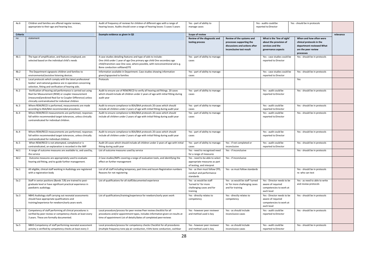| 4a.6     | Children and families are offered regular reviews,               | Audit of frequency of reviews for children of different ages with a range of       | Yes - part of ability to        |                                 | Yes - audits could be       | Yes - should be in protocols   |           |
|----------|------------------------------------------------------------------|------------------------------------------------------------------------------------|---------------------------------|---------------------------------|-----------------------------|--------------------------------|-----------|
|          | appropriate to their age and hearing loss.                       | hearing losses. Audits should cover a range of hearing losses: 5 cases 5 years     | manage cases                    |                                 | reported to Director        |                                |           |
|          |                                                                  |                                                                                    |                                 |                                 |                             |                                |           |
| Criteria |                                                                  | Example evidence as given in QS                                                    | <b>Scope of review</b>          |                                 |                             |                                | relevance |
| no       | statement                                                        |                                                                                    | Review of the diagnostic and    | Review of the systems and       | What is the 'line of sight' | When and how often were        |           |
|          |                                                                  |                                                                                    | testing process                 | processes supporting the        | about the provision of      | clinical protocols in the      |           |
|          |                                                                  |                                                                                    |                                 |                                 |                             |                                |           |
|          |                                                                  |                                                                                    |                                 | discussions and actions after   | services and the            | department reviewed What       |           |
|          |                                                                  |                                                                                    |                                 | inconclusive test result        | governance aspects          | are the peer review            |           |
|          |                                                                  |                                                                                    |                                 |                                 |                             | processes                      |           |
| 4b.1     | The type of amplification, and features employed, are            | 4 case studies detailing features and type of aids to include:                     | Yes - part of ability to manage |                                 | Yes - case studies could be | Yes - should be in protocols   |           |
|          | selected based on the individual child's needs                   | One child under 1 year of age One primary age child One secondary age              | cases                           |                                 | reported to Director        |                                |           |
|          |                                                                  | child/transition case One case, where possible, with nonconventional aid e.g.      |                                 |                                 |                             |                                |           |
|          |                                                                  | Bone conduction softband/ITE                                                       |                                 |                                 |                             |                                |           |
| 4b.2     | The Department signposts children and families to                | Information available in Department. Case studies showing information              | Yes - part of ability to manage |                                 | Yes - case studies could be | Yes - should be in protocols   |           |
|          | environmental/assistive listening devices.                       | given/signposted to families                                                       | cases                           |                                 | reported to Director        |                                |           |
| 4c.1     | Local protocols which comply with the latest professional        | Protocols                                                                          |                                 |                                 |                             | Yes                            |           |
|          | bodies' and national guidance are in operation concerning        |                                                                                    |                                 |                                 |                             |                                |           |
|          | selection, fitting and verification of hearing aids.             |                                                                                    |                                 |                                 |                             |                                |           |
| 4c.2     | Verification of hearing aid performance is carried out using     | Audit to ensure use of REM/RECD to verify all hearing aid fittings. 20 cases       | Yes - part of ability to manage |                                 | Yes - audit could be        | Yes - should be in protocols   |           |
|          | Real Ear Measurement (REM) or coupler measurement                | which should include all children under 2 years of age with initial fitting during | cases                           |                                 | reported to Director        |                                |           |
|          | (measured/predicted Real Ear to Coupler Difference) unless       |                                                                                    |                                 |                                 |                             |                                |           |
|          | clinically contraindicated for individual children               | audit year                                                                         |                                 |                                 |                             |                                |           |
|          |                                                                  |                                                                                    |                                 |                                 |                             |                                |           |
| 4c.3     | Where REM/RECD is performed, measurements are made               | Audit to ensure compliance to BSA/BAA protocols 20 cases which should              | Yes - part of ability to manage |                                 | Yes - audit could be        | Yes - should be in protocols   |           |
|          | according to BSA/BAA recommended procedure.                      | include all children under 2 years of age with initial fitting during audit year   | cases                           |                                 | reported to Director        |                                |           |
| 4c.4     | Where REM/RECD measurements are performed, responses             | Audit to ensure compliance to BSA/BAA protocols 20 cases which should              | Yes - part of ability to manage |                                 | Yes - audit could be        | Yes - should be in protocols   |           |
|          | fall within recommended target tolerances, unless clinically     | include all children under 2 years of age with initial fitting during audit year   | cases                           |                                 | reported to Director        |                                |           |
|          | contraindicated for individual children.                         |                                                                                    |                                 |                                 |                             |                                |           |
|          |                                                                  |                                                                                    |                                 |                                 |                             |                                |           |
|          |                                                                  |                                                                                    |                                 |                                 |                             |                                |           |
| 4c.4     | Where REM/RECD measurements are performed, responses             | Audit to ensure compliance to BSA/BAA protocols 20 cases which should              | Yes - part of ability to manage |                                 | Yes - audit could be        | Yes - should be in protocols   |           |
|          | fall within recommended target tolerances, unless clinically     | include all children under 2 years of age with initial fitting during audit year   | cases                           |                                 | reported to Director        |                                |           |
|          | contraindicated for individual children.                         |                                                                                    |                                 |                                 |                             |                                |           |
| 4c.5     | When REM/RECD is not attempted, completed or is                  | Audit 20 cases which should include all children under 2 years of age with initial | Yes - part of ability to manage | Yes - if not completed or       | Yes - audit could be        | Yes - should be in protocols   |           |
|          | contraindicated, an explanation is recorded in the IMP           | fitting during audit year                                                          | cases                           | inconclusive                    | reported to Director        |                                |           |
| 4d.1     | A range of outcome measures are available to, and used by,       | List of outcome measures used by service                                           | Yes - need to recognised need   | Yes - if inconclusive           |                             | Yes - should be in protocols   |           |
|          | the service                                                      |                                                                                    | for a range of measures         |                                 |                             |                                |           |
| 4d.2     | Outcome measures are appropriately used to evaluate              | 2 Case studies/IMPs covering a range of evaluation tools, and identifying the      | Yes - need to be able to select | Yes - if inconclusive           |                             |                                |           |
|          | hearing aid fitting, and to guide further management.            | effect on further management                                                       | appropriate measures as part    |                                 |                             |                                |           |
|          |                                                                  |                                                                                    | of testing, and interpret       |                                 |                             |                                |           |
| 5a.1     | All eligible, clinical staff working in Audiology are registered | List of all staff including temporary, part time and locum Registration numbers    | Yes - as then must follow CPD,  | Yes - as must follow standards  |                             | Yes - should be in protocols   |           |
|          | with a registration body                                         | Reasons for not registering                                                        | conduct and performance         |                                 |                             | re: who can test               |           |
|          |                                                                  |                                                                                    | standards                       |                                 |                             |                                |           |
| 5a.2     | Staff in senior positions (Bands 7/8) are trained to post-       | List of qualifications for all staff/documented experience                         | Yes - as would be staff         | Yes - as would be staff 'turned | Yes - Director needs to be  | Yes - as need to able to write |           |
|          |                                                                  |                                                                                    | 'turned to' for more            |                                 |                             |                                |           |
|          | graduate level or have significant practical experience in       |                                                                                    |                                 | to' for more challenging cases  | aware of required           | and review protocols           |           |
|          | paediatric audiology.                                            |                                                                                    | challenging cases and for       | and for training                | competencies to work at     |                                |           |
|          |                                                                  |                                                                                    | training                        |                                 | each level                  |                                |           |
| 5a.3     | NBHS Audiology staff carrying out neonatal assessments           | List of qualifications/training/experience for newborn/early years work            | Yes - directly relates to       | Yes - directly relates to       | Yes - Director needs to be  | Yes - should be in protocols   |           |
|          | should have appropriate qualifications and                       |                                                                                    | competency                      | competency                      | aware of required           |                                |           |
|          | training/experience for newborn/early years work.                |                                                                                    |                                 |                                 | competencies to work at     |                                |           |
|          |                                                                  |                                                                                    |                                 |                                 | each level                  |                                |           |
| 5a.4     | Competency of staff performing all clinical procedures is        | Local procedure/process for peer review Peer review checklist for all              | Yes - however peer reviewer     | Yes - as should include         | Yes - audit could be        | Yes - should be in protocols   |           |
|          | verified by peer review or competency checks at least every      | procedures and/or appointment types, includes information given on results at      | and method used is key          | inconclusive cases              | reported to Director        |                                |           |
|          | 3 years. These are formally documented.                          | time of appointment List of details/dates of completed peer reviews                |                                 |                                 |                             |                                |           |
|          |                                                                  |                                                                                    |                                 |                                 |                             |                                |           |
| 5a.5     | NBHS Competency of staff performing neonatal assessment          | Local procedure/process for competency checks Checklist for all procedures         | Yes - however peer reviewer     | Yes - as should include         | Yes - audit could be        | Yes - should be in protocols   |           |
|          | activity is verified by competency checks at least every 3       | (multiple frequency tone pip air conduction, 4 kHz bone conduction, cochlear       | and method used is key          | inconclusive cases              | reported to Director        |                                |           |
|          |                                                                  |                                                                                    |                                 |                                 |                             |                                |           |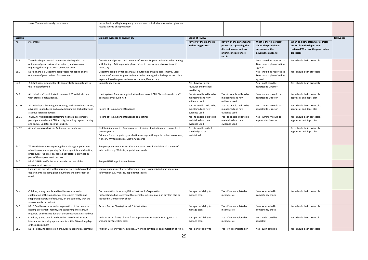|          | years. These are formally documented.                                                                                                                                                                                         | microphonic and high frequency tympanometry) Includes information given on<br>results at time of appointment                                                                                                                         |                                                                     |                                                                                                                       |                                                                                                 |                                                                                                                   |           |
|----------|-------------------------------------------------------------------------------------------------------------------------------------------------------------------------------------------------------------------------------|--------------------------------------------------------------------------------------------------------------------------------------------------------------------------------------------------------------------------------------|---------------------------------------------------------------------|-----------------------------------------------------------------------------------------------------------------------|-------------------------------------------------------------------------------------------------|-------------------------------------------------------------------------------------------------------------------|-----------|
| Criteria |                                                                                                                                                                                                                               | Example evidence as given in QS                                                                                                                                                                                                      | Scope of review                                                     |                                                                                                                       |                                                                                                 |                                                                                                                   | Relevance |
| no       | statement                                                                                                                                                                                                                     |                                                                                                                                                                                                                                      | <b>Review of the diagnostic</b><br>and testing process              | Review of the systems and<br>processes supporting the<br>discussions and actions<br>after inconclusive test<br>result | What is the 'line of sight'<br>about the provision of<br>services and the<br>governance aspects | When and how often were clinical<br>protocols in the department<br>reviewed What are the peer review<br>processes |           |
| 5a.6     | There is a Departmental process for dealing with the<br>outcome of peer review observations, and concerns<br>regarding clinical practice at any other time.                                                                   | Departmental policy. Local procedure/process for peer review includes dealing<br>with findings. Action plans in place, linked to peer review observations, if<br>necessary.                                                          |                                                                     |                                                                                                                       | Yes - should be reported to<br>Director and plan of action<br>agreed                            | Yes - should be in protocols                                                                                      |           |
| 5a.7     | NBHS There is a Departmental process for acting on the<br>outcomes of peer review of assessment.                                                                                                                              | Departmental policy for dealing with outcomes of NBHS assessments. Local<br>procedure/process for peer review includes dealing with findings. Action plans<br>in place, linked to peer review observations, if necessary.            |                                                                     |                                                                                                                       | Yes - should be reported to<br>Director and plan of action<br>agreed                            | Yes - should be in protocols                                                                                      |           |
| 5a.8     | All staff assisting audiologists demonstrate competence in<br>the roles performed.                                                                                                                                            | Competency checks                                                                                                                                                                                                                    | Yes - however peer<br>reviewer and method<br>used is key            |                                                                                                                       | Yes - audit could be<br>reported to Director                                                    | Yes - should be in protocols                                                                                      |           |
| 5a.9     | All clinical staff participate in relevant CPD activity in line<br>with professional guidance.                                                                                                                                | Local systems for ensuring staff attend and record CPD Discussions with staff<br>during external audit visit                                                                                                                         | Yes - to enable skills to be<br>maintained and new<br>evidence used | Yes - to enable skills to be<br>maintained and new<br>evidence used                                                   | Yes - summary could be<br>reported to Director                                                  | Yes - should be in protocols,<br>appraisals and dept. plan                                                        |           |
| 5a.10    | All Audiologists have regular training, and annual updates on,<br>advances in paediatric audiology, hearing aid technology and<br>assistive listening devices.                                                                | Record of training and attendance                                                                                                                                                                                                    | Yes - to enable skills to be<br>maintained and new<br>evidence used | Yes - to enable skills to be<br>maintained and new<br>evidence used                                                   | Yes - summary could be<br>reported to Director                                                  | Yes - should be in protocols,<br>appraisals and dept. plan                                                        |           |
| 5a.11    | NBHS All Audiologists performing neonatal assessments<br>participate in relevant CPD activity, including regular training<br>and annual updates specific to NBHS.                                                             | Record of training and attendance at meetings                                                                                                                                                                                        | Yes - to enable skills to be<br>maintained and new<br>evidence used | Yes - to enable skills to be<br>maintained and new<br>evidence used                                                   | Yes - summary could be<br>reported to Director                                                  | Yes - should be in protocols,<br>appraisals and dept. plan                                                        |           |
| 5a.12    | All staff employed within Audiology are deaf aware                                                                                                                                                                            | Staff training records (Deaf awareness training at Induction and then at least<br>every 5 years).<br>Evidence from complaints/satisfaction surveys with regards to deaf awareness,<br>if arisen. Written policies. Staff CPD records | Yes - to enable skills &<br>knowledge to be<br>maintained           |                                                                                                                       |                                                                                                 | Yes - should be in protocols,<br>appraisals and dept. plan                                                        |           |
| 6a.1     | Written information regarding the audiology appointment<br>(directions or maps, parking facilities, appointment duration,<br>procedures, facilities, desirable baby state) is provided as<br>part of the appointment process. | Sample appointment letters Community and Hospital Additional sources of<br>information e.g. Website, appointment cards                                                                                                               |                                                                     |                                                                                                                       |                                                                                                 |                                                                                                                   |           |
| 6a.2     | NBHS NBHS specific letter is provided as part of the<br>appointment process                                                                                                                                                   | Sample NBHS appointment letters.                                                                                                                                                                                                     |                                                                     |                                                                                                                       |                                                                                                 |                                                                                                                   |           |
| 6a.3     | Families are provided with appropriate methods to contact<br>departments including phone numbers and either text or<br>email.                                                                                                 | Sample appointment letters Community and Hospital Additional sources of<br>information e.g. Website, appointment cards                                                                                                               |                                                                     |                                                                                                                       |                                                                                                 |                                                                                                                   |           |
| 6a.4     | Children, young people and families receive verbal<br>explanation of the audiological assessment results, and<br>supporting literature if required, on the same day that the<br>assessment is carried out.                    | Documentation in Journal/IMP of test results/explanation<br>Protocol including statement that verbal results are given on day Can also be<br>included in Competency check                                                            | Yes - part of ability to<br>manage cases                            | Yes - if not completed or<br>inconclusive                                                                             | Yes - as included in<br>competency check                                                        | Yes - should be in protocols                                                                                      |           |
| 6a.5     | NBHS Families receive verbal explanation of the neonatal<br>hearing assessment results, and supporting literature, if<br>required, on the same day that the assessment is carried out                                         | Results Record Sheets/Journal Entries/Letters                                                                                                                                                                                        | Yes - part of ability to<br>manage cases                            | Yes - if not completed or<br>inconclusive                                                                             | Yes - as included in<br>competency check                                                        | Yes - should be in protocols                                                                                      |           |
| 6a.6     | Children, young people and families are offered written<br>information following appointments within 10 working days<br>of the appointment                                                                                    | Audit of letters/IMPs of time from appointment to distribution against 10<br>working day target 20 cases                                                                                                                             | Yes - part of ability to<br>manage cases                            | Yes - if not completed or<br>inconclusive                                                                             | Yes - audit could be<br>reported                                                                | Yes - should be in protocols                                                                                      |           |
| 6a.7     | NBHS Following completion of newborn hearing assessment,                                                                                                                                                                      | Audit of 5 letters/reports against 10 working day target, on completion of NBHS                                                                                                                                                      | Yes - part of ability to                                            | Yes - if not completed or                                                                                             | Yes - audit could be                                                                            | Yes - should be in protocols                                                                                      |           |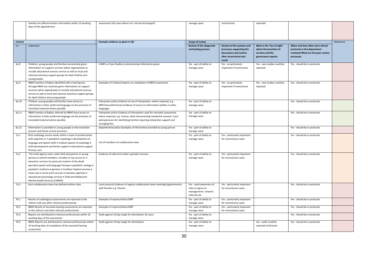|          | families are offered written information within 10 working                                                              | assessment (all cases where not 'normal discharged').                                                                                                 | manage cases                                           | inconclusive                                          | reported                                              |                                                                 |           |
|----------|-------------------------------------------------------------------------------------------------------------------------|-------------------------------------------------------------------------------------------------------------------------------------------------------|--------------------------------------------------------|-------------------------------------------------------|-------------------------------------------------------|-----------------------------------------------------------------|-----------|
|          | days of the appointment.                                                                                                |                                                                                                                                                       |                                                        |                                                       |                                                       |                                                                 |           |
|          |                                                                                                                         |                                                                                                                                                       |                                                        |                                                       |                                                       |                                                                 |           |
|          |                                                                                                                         |                                                                                                                                                       |                                                        |                                                       |                                                       |                                                                 |           |
| Criteria |                                                                                                                         | Example evidence as given in QS                                                                                                                       | <b>Scope of review</b>                                 |                                                       |                                                       |                                                                 | Relevance |
| no       | statement                                                                                                               |                                                                                                                                                       | <b>Review of the diagnostic</b><br>and testing process | Review of the systems and<br>processes supporting the | What is the 'line of sight'<br>about the provision of | When and how often were clinical<br>protocols in the department |           |
|          |                                                                                                                         |                                                                                                                                                       |                                                        | discussions and actions                               | services and the                                      | reviewed What are the peer review                               |           |
|          |                                                                                                                         |                                                                                                                                                       |                                                        | after inconclusive test                               | governance aspects                                    | processes                                                       |           |
|          |                                                                                                                         |                                                                                                                                                       |                                                        | result                                                |                                                       |                                                                 |           |
| 6a.8     | Children, young people and families areroutinely given                                                                  | 4 IMPs or Case Studies to demonstrate information given.                                                                                              | Yes - part of ability to                               | Yes - as particularly                                 | Yes - case studies could be                           | Yes - should be in protocols                                    |           |
|          | information on support services (when appropriate) to<br>include educational sensory service as well as local and       |                                                                                                                                                       | manage cases                                           | important if inconclusive                             | reported                                              |                                                                 |           |
|          | national voluntary support groups for deaf children and                                                                 |                                                                                                                                                       |                                                        |                                                       |                                                       |                                                                 |           |
|          | young people.                                                                                                           |                                                                                                                                                       |                                                        |                                                       |                                                       |                                                                 |           |
| 6a.9     | NBHS Families of babies identified with a hearing loss                                                                  | Examples of 3 letters/reports on completion of NBHS assessment                                                                                        | Yes - part of ability to                               | Yes - as particularly                                 | Yes - case studies could be                           | Yes - should be in protocols                                    |           |
|          | through NBHS are routinely given information on support                                                                 |                                                                                                                                                       | manage cases                                           | important if inconclusive                             | reported                                              |                                                                 |           |
|          | services (when appropriate) to include educational sensory                                                              |                                                                                                                                                       |                                                        |                                                       |                                                       |                                                                 |           |
|          | service as well as local and national voluntary support groups                                                          |                                                                                                                                                       |                                                        |                                                       |                                                       |                                                                 |           |
|          | for deaf children and young people                                                                                      |                                                                                                                                                       |                                                        |                                                       |                                                       |                                                                 |           |
| 6a.10    | Children, young people and families have access to<br>information in their preferred language via the provision of      | Interpreter policy Evidence of use of interpreters, where required, e.g.<br>IMPs/Journal/Invoices Evidence of access to information leaflets in other | Yes - part of ability to<br>manage cases               |                                                       |                                                       | Yes - should be in protocols                                    |           |
|          | translated material where possible.                                                                                     | languages                                                                                                                                             |                                                        |                                                       |                                                       |                                                                 |           |
| 6a.11    | NBHS Families of babies referred by NBHS have access to                                                                 | Interpreter policy Evidence of interpreters used for neonatal assessment,                                                                             | Yes - part of ability to                               |                                                       |                                                       | Yes - should be in protocols                                    |           |
|          | information in their preferred language via the provision of                                                            | where required, e.g. invoice, letter documenting interpreter present. Local                                                                           | manage cases                                           |                                                       |                                                       |                                                                 |           |
|          | translated material where possible                                                                                      | policy/process for identifying families requiring interpreter support and                                                                             |                                                        |                                                       |                                                       |                                                                 |           |
|          |                                                                                                                         | arranging this.                                                                                                                                       |                                                        |                                                       |                                                       |                                                                 |           |
| 6a.12    | Information is provided to young people on the transition<br>process and future service provision.                      | Departmental policy Examples of information provided to young person                                                                                  | Yes - part of ability to<br>manage cases               |                                                       |                                                       | Yes - should be in protocols                                    |           |
| 7a.1     | Each audiology service works within a team of professionals                                                             |                                                                                                                                                       | Yes - part of ability to                               | Yes - particularly important                          |                                                       | Yes - should be in protocols                                    |           |
|          | with expertise in: • paediatric audiology • development of                                                              |                                                                                                                                                       | manage cases                                           | for inconclusive cases                                |                                                       |                                                                 |           |
|          | language and speech skills . medical aspects of audiology .                                                             | List of members of collaborative team                                                                                                                 |                                                        |                                                       |                                                       |                                                                 |           |
|          | child development and family support . educational support                                                              |                                                                                                                                                       |                                                        |                                                       |                                                       |                                                                 |           |
|          | Primary care                                                                                                            |                                                                                                                                                       |                                                        |                                                       |                                                       |                                                                 |           |
| 7a.2     | The multi-agency team, with child and parents or young                                                                  | Evidence of referral to other specialist services                                                                                                     | Yes - part of ability to                               | Yes - particularly important                          |                                                       | Yes - should be in protocols                                    |           |
|          | person as central members, includes or has access to: .                                                                 |                                                                                                                                                       | manage cases                                           | for inconclusive cases                                |                                                       |                                                                 |           |
|          | education services (in particular teacher of the deaf)<br>specialist speech and language therapy . paediatric otology . |                                                                                                                                                       |                                                        |                                                       |                                                       |                                                                 |           |
|          | paediatric medicine · genetics · Cochlear Implant services ·                                                            |                                                                                                                                                       |                                                        |                                                       |                                                       |                                                                 |           |
|          | vision care · social work services · voluntary agencies ·                                                               |                                                                                                                                                       |                                                        |                                                       |                                                       |                                                                 |           |
|          | educational psychology services . Child and Adolescent                                                                  |                                                                                                                                                       |                                                        |                                                       |                                                       |                                                                 |           |
|          | Mental Health Services (CAMHS)                                                                                          |                                                                                                                                                       |                                                        |                                                       |                                                       |                                                                 |           |
| 7a.3     | Each collaborative team has defined written roles                                                                       | Local protocol Evidence of regular collaborative team meetings/appointments                                                                           | Yes - need awareness of                                | Yes - particularly important                          |                                                       | Yes - should be in protocols                                    |           |
|          |                                                                                                                         | with families e.g. Planner                                                                                                                            | roles to agree on                                      | for inconclusive cases                                |                                                       |                                                                 |           |
|          |                                                                                                                         |                                                                                                                                                       | management / onward<br>referrals etc.                  |                                                       |                                                       |                                                                 |           |
| 7b.1     | Results of audiological assessments are reported to the                                                                 | Examples of reports/letters/IMP                                                                                                                       | Yes - part of ability to                               | Yes - particularly important                          |                                                       | Yes - should be in protocols                                    |           |
|          | referrer and any other relevant professionals                                                                           |                                                                                                                                                       | manage cases                                           | for inconclusive cases                                |                                                       |                                                                 |           |
| 7b.2     | NBHS Results of neonatal hearing assessments are reported                                                               | Examples of reports/letters/IMP                                                                                                                       | Yes - part of ability to                               | Yes - particularly important                          |                                                       | Yes - should be in protocols                                    |           |
|          | to the referrer and other relevant professionals                                                                        |                                                                                                                                                       | manage cases                                           | for inconclusive cases                                |                                                       |                                                                 |           |
| 7b.3     | Reports are distributed to relevant professionals within 10                                                             | Audit against 10 day target for distribution 20 cases                                                                                                 | Yes - part of ability to                               |                                                       |                                                       | Yes - should be in protocols                                    |           |
|          | working days of the assessment.                                                                                         |                                                                                                                                                       | manage cases                                           |                                                       |                                                       |                                                                 |           |
| 7b.4     | NBHS Reports are distributed to relevant professionals within                                                           | Audit against 10 day target for distribution                                                                                                          | Yes - part of ability to                               |                                                       | Yes - audit could be                                  | Yes - should be in protocols                                    |           |
|          | 10 working days of completion of the neonatal hearing<br>assessment                                                     |                                                                                                                                                       | manage cases                                           |                                                       | reported to Director                                  |                                                                 |           |
|          |                                                                                                                         |                                                                                                                                                       |                                                        |                                                       |                                                       |                                                                 |           |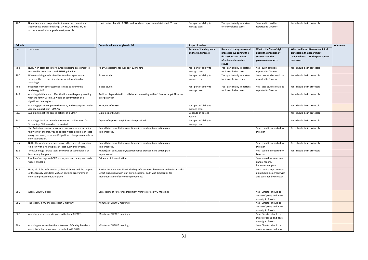| 7b.5            | Non attendance is reported to the referrer, parent, and<br>appropriate professionals e.g. GP, HV, Child Health, in<br>accordance with local guidelines/protocols                                                   | Local protocol Audit of DNAs and to whom reports are distributed 20 cases                                                                                                                            | Yes - part of ability to<br>manage cases        | Yes - particularly important<br>for inconclusive cases                                                                | Yes - audit could be<br>reported to Director                                                    | Yes - should be in protocols                                                                                      |           |
|-----------------|--------------------------------------------------------------------------------------------------------------------------------------------------------------------------------------------------------------------|------------------------------------------------------------------------------------------------------------------------------------------------------------------------------------------------------|-------------------------------------------------|-----------------------------------------------------------------------------------------------------------------------|-------------------------------------------------------------------------------------------------|-------------------------------------------------------------------------------------------------------------------|-----------|
| <b>Criteria</b> |                                                                                                                                                                                                                    | Example evidence as given in QS                                                                                                                                                                      | Scope of review                                 |                                                                                                                       |                                                                                                 |                                                                                                                   | relevance |
| no              | statement                                                                                                                                                                                                          |                                                                                                                                                                                                      | Review of the diagnostic<br>and testing process | Review of the systems and<br>processes supporting the<br>discussions and actions<br>after inconclusive test<br>result | What is the 'line of sight'<br>about the provision of<br>services and the<br>governance aspects | When and how often were clinical<br>protocols in the department<br>reviewed What are the peer review<br>processes |           |
| 7b.6            | NBHS Non attendance for newborn hearing assessment is<br>reported in accordance with NBHS guidelines                                                                                                               | All DNA assessments over past 12 months                                                                                                                                                              | Yes - part of ability to<br>manage cases        | Yes - particularly important<br>for inconclusive cases                                                                | Yes - audit could be<br>reported to Director                                                    | Yes - should be in protocols                                                                                      |           |
| 7b.7            | When Audiology refers families to other agencies and<br>services, there is ongoing sharing of information by<br>audiology.                                                                                         | 3 case studies                                                                                                                                                                                       | Yes - part of ability to<br>manage cases        | Yes - particularly important<br>for inconclusive cases                                                                | Yes - case studies could be<br>reported to Director                                             | Yes - should be in protocols                                                                                      |           |
| 7b.8            | Feedback from other agencies is used to inform the<br>Audiology IMP.                                                                                                                                               | 3 case studies                                                                                                                                                                                       | Yes - part of ability to<br>manage cases        | Yes - particularly important<br>for inconclusive cases                                                                | Yes - case studies could be<br>reported to Director                                             | Yes - should be in protocols                                                                                      |           |
| 7c.1            | Audiology initiate, and offer, the first multi-agency meeting<br>with the family within 12 weeks of confirmation of a<br>significant hearing loss.                                                                 | Audit of diagnosis to first collaborative meeting within 12 week target All cases<br>over past year                                                                                                  |                                                 |                                                                                                                       |                                                                                                 | Yes - should be in protocols                                                                                      |           |
| 7c.2            | Audiology provide input to the initial, and subsequent, Multi<br>Agency support plan (MASP)s.                                                                                                                      | <b>Examples of MASPs</b>                                                                                                                                                                             | Yes - part of ability to<br>manage cases        |                                                                                                                       |                                                                                                 | Yes - should be in protocols                                                                                      |           |
| 7c.3            | Audiology meet the agreed actions of a MASP                                                                                                                                                                        | Examples of MASPs                                                                                                                                                                                    | Depends on agreed<br>actions                    |                                                                                                                       |                                                                                                 | Yes - should be in protocols                                                                                      |           |
| 7c.4            | Audiology Services provide information to Education for<br>School Age Children when requested.                                                                                                                     | Copies of reports sent/information provided.                                                                                                                                                         | Yes - part of ability to<br>manage cases        |                                                                                                                       |                                                                                                 | Yes - should be in protocols                                                                                      |           |
| 8a.1            | The Audiology service, surveys service user views, including<br>the views of children/young people where possible, at least<br>every two years, or sooner if significant changes are made in<br>service provision. | Report(s) of consultation/questionnaires produced and action plan<br>implemented.                                                                                                                    |                                                 |                                                                                                                       | Yes - could be reported to<br>Director                                                          | Yes - should be in protocols                                                                                      |           |
| 8a.2            | NBHS The Audiology service surveys the views of parents of<br>children with a hearing loss at least every three years.                                                                                             | Report(s) of consultation/questionnaires produced and action plan<br>implemented.                                                                                                                    |                                                 |                                                                                                                       | Yes - could be reported to<br>Director                                                          | Yes - should be in protocols                                                                                      |           |
| 8a.3            | The Audiology service seeks the views of Stakeholders at<br>least every five years.                                                                                                                                | Report(s) of consultation/questionnaires produced and action plan<br>implemented.                                                                                                                    |                                                 |                                                                                                                       | Yes - could be reported to<br>Director                                                          | Yes - should be in protocols                                                                                      |           |
| 8a.4            | Results of surveys and QRT scores, and outcomes, are made<br>widely available                                                                                                                                      | Evidence of dissemination                                                                                                                                                                            |                                                 |                                                                                                                       | Yes - should be in service<br>annual report /<br>improvement plan                               |                                                                                                                   |           |
| 8a.5            | Using all of the information gathered above, and the outputs<br>of the Quality Standards visit, an ongoing programme of<br>service improvement, is in place.                                                       | Service improvement Plan including reference to all elements within Standard 8<br>Direct discussions with staff during external audit visit Timescales for<br>implementation of service improvements |                                                 |                                                                                                                       | Yes - service improvement<br>plan should be agreed with<br>and overseen by Director             |                                                                                                                   |           |
| 8b.1            | A local CHSWG exists.                                                                                                                                                                                              | Local Terms of Reference Document Minutes of CHSWG meetings                                                                                                                                          |                                                 |                                                                                                                       | Yes - Director should be<br>aware of group and have<br>oversight of work                        |                                                                                                                   |           |
| 8b.2            | The local CHSWG meets at least 6 monthly.                                                                                                                                                                          | Minutes of CHSWG meetings                                                                                                                                                                            |                                                 |                                                                                                                       | Yes - Director should be<br>aware of group and have<br>oversight of work                        |                                                                                                                   |           |
| 8b.3            | Audiology services participate in the local CHSWG.                                                                                                                                                                 | Minutes of CHSWG meetings                                                                                                                                                                            |                                                 |                                                                                                                       | Yes - Director should be<br>aware of group and have<br>oversight of work                        |                                                                                                                   |           |
| 8b.4            | Audiology ensures that the outcomes of Quality Standards<br>and satisfaction surveys are reported to CHSWG.                                                                                                        | Minutes of CHSWG meetings                                                                                                                                                                            |                                                 |                                                                                                                       | Yes - Director should be<br>aware of group and have                                             |                                                                                                                   |           |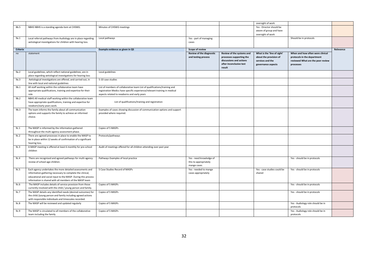|          |                                                               |                                                                           |                          |                           | oversight of work           |                                   |           |
|----------|---------------------------------------------------------------|---------------------------------------------------------------------------|--------------------------|---------------------------|-----------------------------|-----------------------------------|-----------|
| 8b.5     | NBHS NBHS is a standing agenda item at CHSWG.                 | Minutes of CHSWG meetings                                                 |                          |                           | Yes - Director should be    |                                   |           |
|          |                                                               |                                                                           |                          |                           | aware of group and have     |                                   |           |
|          |                                                               |                                                                           |                          |                           | oversight of work           |                                   |           |
| 9a.1     | Local referral pathways from Audiology are in place regarding | Local pathways                                                            | Yes - part of managing   |                           |                             | Should be in protocols            |           |
|          | aetiological investigations for children with hearing loss.   |                                                                           | cases                    |                           |                             |                                   |           |
|          |                                                               |                                                                           |                          |                           |                             |                                   |           |
| Criteria |                                                               | Example evidence as given in QS                                           | Scope of review          |                           |                             |                                   | Relevance |
| no       | statement                                                     |                                                                           | Review of the diagnostic | Review of the systems and | What is the 'line of sight' | When and how often were clinical  |           |
|          |                                                               |                                                                           | and testing process      | processes supporting the  | about the provision of      | protocols in the department       |           |
|          |                                                               |                                                                           |                          | discussions and actions   | services and the            | reviewed What are the peer review |           |
|          |                                                               |                                                                           |                          | after inconclusive test   | governance aspects          | processes                         |           |
|          |                                                               |                                                                           |                          | result                    |                             |                                   |           |
| 9a.2     | Local guidelines, which reflect national guidelines, are in   | Local guidelines                                                          |                          |                           |                             |                                   |           |
|          | place regarding aetiological investigations for hearing loss  |                                                                           |                          |                           |                             |                                   |           |
|          |                                                               |                                                                           |                          |                           |                             |                                   |           |
| 9a.3     | Aetiological investigations are offered, and carried out, in  | 5-10 case studies                                                         |                          |                           |                             |                                   |           |
|          | line with local and national guidelines                       |                                                                           |                          |                           |                             |                                   |           |
| 9b.1     | All staff working within the collaborative team have          | List of members of collaborative team List of qualifications/training and |                          |                           |                             |                                   |           |
|          | appropriate qualifications, training and expertise for their  | registration Medics have specific experience/relevant training in medical |                          |                           |                             |                                   |           |
|          | role                                                          | aspects related to newborns and early years                               |                          |                           |                             |                                   |           |
| 9b.2     | NBHS All medical staff working within the collaborative team  |                                                                           |                          |                           |                             |                                   |           |
|          | have appropriate qualifications, training and expertise for   | List of qualifications/training and registration                          |                          |                           |                             |                                   |           |
|          | newborn/early years work.                                     |                                                                           |                          |                           |                             |                                   |           |
| 9b.3     | The team informs the family about all communication           | Examples of cases showing discussion of communication options and support |                          |                           |                             |                                   |           |
|          | options and supports the family to achieve an informed        | provided where required.                                                  |                          |                           |                             |                                   |           |
|          | choice.                                                       |                                                                           |                          |                           |                             |                                   |           |
|          |                                                               |                                                                           |                          |                           |                             |                                   |           |
|          |                                                               |                                                                           |                          |                           |                             |                                   |           |
| 9c.1     | The MASP is informed by the information gathered              | Copies of 5 MASPs                                                         |                          |                           |                             |                                   |           |
|          | throughout the multi-agency assessment phase.                 |                                                                           |                          |                           |                             |                                   |           |
| 9c.2     | There are agreed processes in place to enable the MASP to     | Protocols/pathways                                                        |                          |                           |                             |                                   |           |
|          | be in place within 12 weeks of confirmation of a significant  |                                                                           |                          |                           |                             |                                   |           |
|          | hearing loss.                                                 |                                                                           |                          |                           |                             |                                   |           |
| 9c.3     | A MASP meeting is offered at least 6 monthly for pre-school   | Audit of meetings offered for all children attending over past year       |                          |                           |                             |                                   |           |
|          | children                                                      |                                                                           |                          |                           |                             |                                   |           |
|          |                                                               |                                                                           |                          |                           |                             |                                   |           |
|          |                                                               |                                                                           |                          |                           |                             |                                   |           |
| 9c.4     | There are recognised and agreed pathways for multi-agency     | Pathways Examples of local practice                                       | Yes - need knowledge of  |                           |                             | Yes - should be in protocols      |           |
|          | review of school-age children.                                |                                                                           | this to appropriately    |                           |                             |                                   |           |
|          |                                                               |                                                                           | mange cases              |                           |                             |                                   |           |
| 9c.5     | Each agency undertakes the more detailed assessments and      | 5 Case Studies Record of MASPs                                            | Yes - needed to mange    |                           | Yes - case studies could be | Yes - should be in protocols      |           |
|          | information gathering necessary to complete the clinical,     |                                                                           | cases appropriately      |                           | shared                      |                                   |           |
|          | educational and social input to the MASP. During this process |                                                                           |                          |                           |                             |                                   |           |
|          | information is shared with all members of the MASP team       |                                                                           |                          |                           |                             |                                   |           |
| 9c.6     | The MASP includes details of service provision from those     | Copies of 5 MASPs                                                         |                          |                           |                             | Yes - should be in protocols      |           |
|          | currently involved with the child / young person and family.  |                                                                           |                          |                           |                             |                                   |           |
| 9c.7     | The MASP details any identified needs (desired outcomes) for  | Copies of 5 MASPs                                                         |                          |                           |                             | Yes - should be in protocols      |           |
|          | the child /young person and family including agreed actions   |                                                                           |                          |                           |                             |                                   |           |
|          | with responsible individuals and timescales recorded.         |                                                                           |                          |                           |                             |                                   |           |
| 9c.8     | The MASP will be reviewed and updated regularly               | Copies of 5 MASPs                                                         |                          |                           |                             | Yes - Audiology role should be in |           |
|          |                                                               |                                                                           |                          |                           |                             | protocols                         |           |
| 9c.9     | The MASP is circulated to all members of the collaborative    | Copies of 5 MASPs                                                         |                          |                           |                             | Yes - Audiology role should be in |           |
|          | team including the family                                     |                                                                           |                          |                           |                             | protocols                         |           |
|          |                                                               |                                                                           |                          |                           |                             |                                   |           |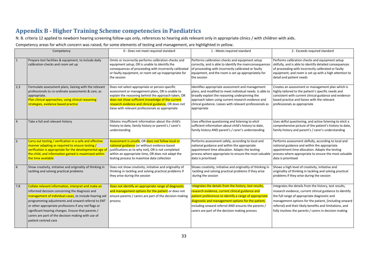## **Appendix B - Higher Training Scheme competencies in Paediatrics**

N. B. criteria 12 applied to newborn hearing screening follow-ups only, references to hearing aids relevant only in appropriate clinics / with children with aids.

Competency areas for which concern was raised, for some elements of testing and management, are highlighted in yellow.

<span id="page-32-0"></span>

|     | Competency                                                                                                                                                                                                                                                                                                                                                                                                        | 0 - Does not meet required standard                                                                                                                                                                                                                                                                                        | 1 - Meets required standard                                                                                                                                                                                                                                                                                                         | 2 - Exceeds required standard                                                                                                                                                                                                                                                                                                                     |
|-----|-------------------------------------------------------------------------------------------------------------------------------------------------------------------------------------------------------------------------------------------------------------------------------------------------------------------------------------------------------------------------------------------------------------------|----------------------------------------------------------------------------------------------------------------------------------------------------------------------------------------------------------------------------------------------------------------------------------------------------------------------------|-------------------------------------------------------------------------------------------------------------------------------------------------------------------------------------------------------------------------------------------------------------------------------------------------------------------------------------|---------------------------------------------------------------------------------------------------------------------------------------------------------------------------------------------------------------------------------------------------------------------------------------------------------------------------------------------------|
| 1   | Prepare test facilities & equipment, to include daily<br>calibration checks and room set up                                                                                                                                                                                                                                                                                                                       | Omits or incorrectly performs calibration checks and<br>equipment setup, OR is unable to identify the<br>consequences of proceeding with incorrectly calibrated<br>or faulty equipment, or room set up inappropriate for<br>the session                                                                                    | Performs calibration checks and equipment setup<br>correctly, and is able to identify the mainconsequences<br>of proceeding with incorrectly calibrated or faulty<br>equipment, and the room is set up appropriately for<br>the session                                                                                             | Performs calibration checks and equipment setup<br>skilfully, and is able to identify detailed consequences<br>of proceeding with incorrectly calibrated or faulty<br>equipment, and room is set up with a high attention to<br>detail and patient needs                                                                                          |
| 2,3 | Formulate assessment plans, liaising with the relevant<br>professionals to co-ordinate assessments & care, as<br>appropriate.<br>Plan clinical approaches, using clinical reasoning<br>strategies, evidence based practice                                                                                                                                                                                        | Does not select appropriate or person-specific<br>assessment or management plans, OR is unable to<br>explain the reasoning behind the approach taken, OR<br>does not show sufficient knowledge of the current<br>research evidence and clinical guidance, OR does not<br>liaise with relevant professionals as appropriate | Identifies appropriate assessment and management<br>plans, and modified to meet individual needs. Is able to<br>broadly explain the reasoning underpinning the<br>approach taken using current research evidence and<br>clinical guidance. Liaises with relevant professionals as<br>appropriate                                    | Creates an assessment or management plan which is<br>highly tailored to the patient's specific needs and<br>consistent with current clinical guidance and evidence-<br>based practice and liaises with the relevant<br>professionals as appropriate                                                                                               |
|     | Take a full and relevant history                                                                                                                                                                                                                                                                                                                                                                                  | Obtains insufficient information about the child's<br>history to date, family history or parent's / carer's<br>understanding                                                                                                                                                                                               | Uses effective questioning and listening to elicit<br>sufficient information about child's history to date,<br>family history AND parent's / carer's understanding                                                                                                                                                                  | Uses skilful questioning, and active listening to elicit a<br>comprehensive picture of the patient's history to date,<br>family history and parent's / carer's understanding                                                                                                                                                                      |
| 5   | Carry out testing / verification in a safe and effective<br>manner adapting as required to ensure testing /<br>verification is appropriate for the developmental age of<br>the child, and information gained is maximised within<br>the time available                                                                                                                                                            | Assessment is unsafe, OR does not follow local or<br>national guidance (or without evidence based<br>justifications as to why not), OR is not completed<br>within an appropriate time, OR does not adapt the<br>testing process to maximise data collection                                                                | Performs assessment safely, according to local and<br>national guidance and within the appropriate<br>appointment time allocation. Adapts the testing<br>process where appropriate to ensure the most valuable<br>data is prioritised                                                                                               | Performs assessment skilfully, according to local and<br>national guidance and within the appropriate<br>appointment time allocation. Adapts the testing<br>process where appropriate to ensure the most valuable<br>data is prioritised                                                                                                          |
| 6   | Show creativity, initiative and originality of thinking in<br>tackling and solving practical problems                                                                                                                                                                                                                                                                                                             | Does not show creativity, initiative and originality of<br>thinking in tackling and solving practical problems if<br>they arise during the session                                                                                                                                                                         | Shows creativity, initiative and originality of thinking in<br>tackling and solving practical problems if they arise<br>during the session                                                                                                                                                                                          | Shows a high level of creativity, initiative and<br>originality of thinking in tackling and solving practical<br>problems if they arise during the session                                                                                                                                                                                        |
| 7,8 | Collate relevant information, interpret and make an<br>informed decision concerning the diagnosis and<br>management of individual cases, to include hearing aid<br>programming adjustments and onward referral to ENT<br>or other appropriate professions if any red flags or<br>significant hearing changes. Ensure that parents /<br>carers are part of the decision making with use of<br>patient centred care | Does not identify an appropriate range of diagnostic<br>and management options for the patient or does not<br>ensure parents / carers are part of the decision making<br>process                                                                                                                                           | Integrates the details from the history, test results,<br>research evidence, current clinical guidance and<br>patient preferences to identify a range of appropriate<br>diagnostic and management options for the patient,<br>including onward referral AND ensures the parents /<br>carers are part of the decision making process | Integrates the details from the history, test results,<br>research evidence, current clinical guidance to identify<br>the full range of appropriate diagnostic and<br>management options for the patient, (including onward<br>referral) and their likely benefits and limitations, and<br>fully involves the parents / carers in decision making |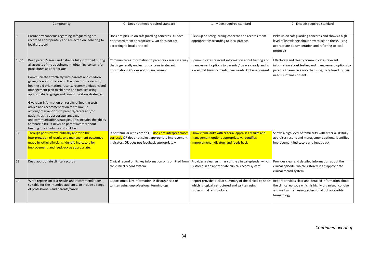|       | Competency                                                                                                                                                                                                                                                                                                                                                                                                                                                                                                                                                                                                                                                                                                                                                                    | 0 - Does not meet required standard                                                                                                                                 | 1 - Meets required standard                                                                                                                                           | 2 - Exceeds required standard                                                                                                                                                                 |
|-------|-------------------------------------------------------------------------------------------------------------------------------------------------------------------------------------------------------------------------------------------------------------------------------------------------------------------------------------------------------------------------------------------------------------------------------------------------------------------------------------------------------------------------------------------------------------------------------------------------------------------------------------------------------------------------------------------------------------------------------------------------------------------------------|---------------------------------------------------------------------------------------------------------------------------------------------------------------------|-----------------------------------------------------------------------------------------------------------------------------------------------------------------------|-----------------------------------------------------------------------------------------------------------------------------------------------------------------------------------------------|
| 9     | Ensure any concerns regarding safeguarding are<br>recorded appropriately and are acted on, adhering to<br>local protocol                                                                                                                                                                                                                                                                                                                                                                                                                                                                                                                                                                                                                                                      | Does not pick up on safeguarding concerns OR does<br>not record them appropriately, OR does not act<br>according to local protocol                                  | Picks up on safeguarding concerns and records them<br>appropriately according to local protocol                                                                       | Picks up on safeguarding concerns and shows a high<br>level of knowledge about how to act on these, using<br>appropriate documentation and referring to local<br>protocols                    |
| 10,11 | Keep parent/carers and patients fully informed during<br>all aspects of the appointment, obtaining consent for<br>procedures as appropriate<br>Communicate effectively with parents and children<br>giving clear information on the plan for the session,<br>hearing aid orientation, results, recommendations and<br>management plan to children and families using<br>appropriate language and communication strategies.<br>Give clear information on results of hearing tests,<br>advice and recommendation for follow-up<br>actions/interventions to parents/carers and/or<br>patients using appropriate language<br>and communication strategies. This includes the ability<br>to 'share difficult news' to parents/carers about<br>hearing loss in infants and children | Communicates information to parents / carers in a way<br>that is generally unclear or contains irrelevant<br>information OR does not obtain consent                 | Communicates relevant information about testing and<br>management options to parents / carers clearly and in<br>a way that broadly meets their needs. Obtains consent | Effectively and clearly communicates relevant<br>information about testing and management options to<br>parents / carers in a way that is highly tailored to their<br>needs. Obtains consent. |
| 12    | Through peer review, critically appraise the<br>interpretation of results and management outcomes<br>made by other clinicians; identify indicators for<br>improvement, and feedback as appropriate.                                                                                                                                                                                                                                                                                                                                                                                                                                                                                                                                                                           | Is not familiar with criteria OR does not interpret traces<br>correctly OR does not select appropriate improvement<br>indicators OR does not feedback appropriately | Shows familiarity with criteria, appraises results and<br>management options appropriately, identifies<br>improvement indicators and feeds back                       | Shows a high level of familiarity with criteria, skilfully<br>appraises results and management options, identifies<br>improvement indicators and feeds back                                   |
| 13    | Keep appropriate clinical records                                                                                                                                                                                                                                                                                                                                                                                                                                                                                                                                                                                                                                                                                                                                             | Clinical record omits key information or is omitted from   Provides a clear summary of the clinical episode, which<br>the clinical record system                    | is stored in an appropriate clinical record system                                                                                                                    | Provides clear and detailed information about the<br>clinical episode, which is stored in an appropriate<br>clinical record system                                                            |
| 14    | Write reports on test results and recommendations<br>suitable for the intended audience, to include a range<br>of professionals and parents/carers                                                                                                                                                                                                                                                                                                                                                                                                                                                                                                                                                                                                                            | Report omits key information, is disorganised or<br>written using unprofessional terminology                                                                        | Report provides a clear summary of the clinical episode<br>which is logically structured and written using<br>professional terminology                                | Report provides clear and detailed information about<br>the clinical episode which is highly organised, concise,<br>and well written using professional but accessible<br>terminology         |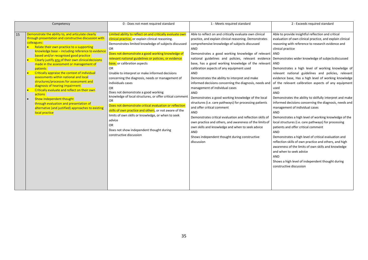|    | Competency                                                                                                                                                                                                                                                                                                                                                                                                                                                                                                                                                                                                                                                                                                                                                          | 0 - Does not meet required standard                                                                                                                                                                                                                                                                                                                                                                                                                                                                                                                                                                                                                                                                                                                                                                                                                                    | 1 - Meets required standard                                                                                                                                                                                                                                                                                                                                                                                                                                                                                                                                                                                                                                                                                                                                                                                                                                                                                                                                         | 2 - Exceeds required standard                                                                                                                                                                                                                                                                                                                                                                                                                                                                                                                                                                                                                                                                                                                                                                                                                                                                                                                                                                                                                                                                                                                  |
|----|---------------------------------------------------------------------------------------------------------------------------------------------------------------------------------------------------------------------------------------------------------------------------------------------------------------------------------------------------------------------------------------------------------------------------------------------------------------------------------------------------------------------------------------------------------------------------------------------------------------------------------------------------------------------------------------------------------------------------------------------------------------------|------------------------------------------------------------------------------------------------------------------------------------------------------------------------------------------------------------------------------------------------------------------------------------------------------------------------------------------------------------------------------------------------------------------------------------------------------------------------------------------------------------------------------------------------------------------------------------------------------------------------------------------------------------------------------------------------------------------------------------------------------------------------------------------------------------------------------------------------------------------------|---------------------------------------------------------------------------------------------------------------------------------------------------------------------------------------------------------------------------------------------------------------------------------------------------------------------------------------------------------------------------------------------------------------------------------------------------------------------------------------------------------------------------------------------------------------------------------------------------------------------------------------------------------------------------------------------------------------------------------------------------------------------------------------------------------------------------------------------------------------------------------------------------------------------------------------------------------------------|------------------------------------------------------------------------------------------------------------------------------------------------------------------------------------------------------------------------------------------------------------------------------------------------------------------------------------------------------------------------------------------------------------------------------------------------------------------------------------------------------------------------------------------------------------------------------------------------------------------------------------------------------------------------------------------------------------------------------------------------------------------------------------------------------------------------------------------------------------------------------------------------------------------------------------------------------------------------------------------------------------------------------------------------------------------------------------------------------------------------------------------------|
| 15 | Demonstrate the ability to, and articulate clearly<br>through presentation and constructive discussion with<br>colleagues:<br>Relate their own practice to a supporting<br>knowledge base - including reference to evidence<br>based and/or recognised good practice<br>Clearly justify any of their own clinical decisions<br>made in the assessment or management of<br>patients<br>Critically appraise the context of individual<br>assessments within national and local<br>structures/processes for assessment and<br>diagnosis of hearing impairment<br>Critically evaluate and reflect on their own<br>actions<br>Show independent thought<br>through evaluation and presentation of<br>alternative (and justified) approaches to existing<br>local practice | Limited ability to reflect on and critically evaluate own<br>clinical practice, or explain clinical reasoning.<br>Demonstrates limited knowledge of subjects discussed<br>OR<br>Does not demonstrate a good working knowledge of<br>relevant national guidelines or policies, or evidence<br>base, or calibration aspects<br><b>OR</b><br>Unable to interpret or make informed decisions<br>concerning the diagnosis, needs or management of<br>individuals cases<br><b>OR</b><br>Does not demonstrate a good working<br>knowledge of local structures, or offer critical comment<br><b>OR</b><br>Does not demonstrate critical evaluation or reflection<br>skills of own practice and others, or not aware of the<br>limits of own skills or knowledge, or when to seek<br>advice<br><b>OR</b><br>Does not show independent thought during<br>constructive discussion | Able to reflect on and critically evaluate own clinical<br>practice, and explain clinical reasoning. Demonstrates<br>comprehensive knowledge of subjects discussed<br>AND<br>Demonstrates a good working knowledge of relevant<br>national guidelines and policies, relevant evidence<br>base, has a good working knowledge of the relevant<br>calibration aspects of any equipment used<br>AND<br>Demonstrates the ability to interpret and make<br>informed decisions concerning the diagnosis, needs and<br>management of individual cases<br>AND<br>Demonstrates a good working knowledge of the local<br>structures (i.e. care pathways) for processing patients<br>and offer critical comment<br><b>AND</b><br>Demonstrates critical evaluation and reflection skills of<br>own practice and others, and awareness of the limits of<br>own skills and knowledge and when to seek advice<br>AND<br>Shows independent thought during constructive<br>discussion | Able to provide insightful reflection and critical<br>evaluation of own clinical practice, and explain clinical<br>reasoning with reference to research evidence and<br>clinical practice<br>AND<br>Demonstrates wider knowledge of subjects discussed<br>AND<br>Demonstrates a high level of working knowledge of<br>relevant national guidelines and policies, relevant<br>evidence base, Has a high level of working knowledge<br>of the relevant calibration aspects of any equipment<br>used<br>AND<br>Demonstrates the ability to skilfully interpret and make<br>informed decisions concerning the diagnosis, needs and<br>management of individual cases<br><b>AND</b><br>Demonstrates a high level of working knowledge of the<br>local structures (i.e. care pathways) for processing<br>patients and offer critical comment<br><b>AND</b><br>Demonstrates a high level of critical evaluation and<br>reflection skills of own practice and others, and high<br>awareness of the limits of own skills and knowledge<br>and when to seek advice<br>AND<br>Shows a high level of independent thought during<br>constructive discussion |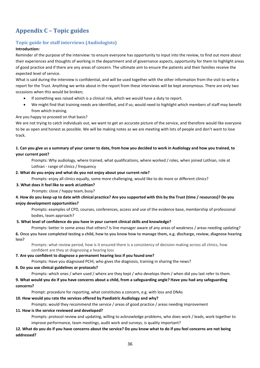# <span id="page-35-0"></span>**Appendix C – Topic guides**

## **Topic guide for staff interviews (Audiologists)**

## **Introduction:**

Reminder of the purpose of the interview: to ensure everyone has opportunity to input into the review, to find out more about their experiences and thoughts of working in the department and of governance aspects, opportunity for them to highlight areas of good practice and if there are any areas of concern. The ultimate aim to ensure the patients and their families receive the expected level of service.

What is said during the interview is confidential, and will be used together with the other information from the visit to write a report for the Trust. Anything we write about in the report from these interviews will be kept anonymous. There are only two occasions when this would be broken;

- If something was raised which is a clinical risk, which we would have a duty to report.
- We might find that training needs are identified, and if so, would need to highlight which members of staff may benefit from which training.

Are you happy to proceed on that basis?

We are not trying to catch individuals out, we want to get an accurate picture of the service, and therefore would like everyone to be as open and honest as possible. We will be making notes as we are meeting with lots of people and don't want to lose track.

## 1. Can you give us a summary of your career to date, from how you decided to work in Audiology and how you trained, to **your current post?**

Prompts: Why audiology, where trained, what qualifications, where worked / roles, when joined Lothian, role at Lothian - range of clinics / frequency

#### **2. What do you enjoy and what do you not enjoy about your current role?**

Prompts: enjoy all clinics equally, some more challenging, would like to do more or different clinics?

#### **3. What does it feel like to work at Lothian?**

Prompts: close / happy team, busy?

## 4. How do you keep up to date with clinical practice? Are you supported with this by the Trust (time / resources)? Do you **enjoy development opportunities?**

Prompts: examples of CPD, courses, conferences, access and use of the evidence base, membership of professional bodies, team approach?

### **5. What level of confidence do you have in your current clinical skills and knowledge?**

Prompts: better in some areas that others? Is line manager aware of any areas of weakness / areas needing updating? **6. Once you have completed testing a child, how to you know how to manage them, e.g. discharge, review, diagnose hearing loss?**

Prompts: what review period, how is it ensured there is a consistency of decision making across all clinics, how confident are they at diagnosing a hearing loss

#### **7. Are you confident to diagnose a permanent hearing loss if you found one?**

Prompts: Have you diagnosed PCHI, who gives the diagnosis, training in sharing the news?

#### **8. Do you use clinical guidelines or protocols?**

Prompts: which ones / when used / where are they kept / who develops them / when did you last refer to them.

**9. What would you do if you have concerns about a child, from a safeguarding angle? Have you had any safeguarding concerns?**

Prompt: procedure for reporting, what constitutes a concern, e.g. with loss and DNAs

## **10. How would you rate the services offered by Paediatric Audiology and why?**

Prompts: would they recommend the service / areas of good practice / areas needing improvement

#### **11. How is the service reviewed and developed?**

Prompts: protocol review and updating, willing to acknowledge problems, who does work / leads, work together to improve performance, team meetings, audit work and surveys, is quality important?

## **12. What do you do if you have concerns about the service? Do you know what to do if you feel concerns are not being addressed?**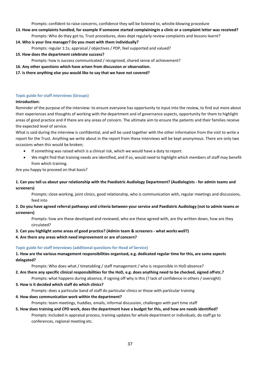Prompts: confident to raise concerns, confidence they will be listened to, whistle-blowing procedure

- **13. How are complaints handled, for example if someone started complainingin a clinic or a complaint letter was received?** Prompts: Who do they got to, Trust procedures, does dept regularly review complaints and lessons learnt?
- **14. Who is your line manager? Do you meet with them individually?**
	- Prompts: regular 1:1s, appraisal / objectives / PDP, feel supported and valued?
- **15. How does the department celebrate success?**
	- Prompts: how is success communicated / recognised, shared sense of achievement?
- **16. Any other questions which have arisen from discussion or observation.**
- **17. Is there anything else you would like to say that we have not covered?**

## **Topic guide for staff interviews (Groups)**

### **Introduction:**

Reminder of the purpose of the interview: to ensure everyone has opportunity to input into the review, to find out more about their experiences and thoughts of working with the department and of governance aspects, opportunity for them to highlight areas of good practice and if there are any areas of concern. The ultimate aim to ensure the patients and their families receive the expected level of service.

What is said during the interview is confidential, and will be used together with the other information from the visit to write a report for the Trust. Anything we write about in the report from these interviews will be kept anonymous. There are only two occasions when this would be broken;

- If something was raised which is a clinical risk, which we would have a duty to report.
- We might find that training needs are identified, and if so, would need to highlight which members of staff may benefit from which training.

Are you happy to proceed on that basis?

## **1. Can you tell us about your relationship with the Paediatric Audiology Department? (Audiologists - for admin teams and screeners)**

Prompts: close working, joint clinics, good relationship, who is communication with, regular meetings and discussions, feed into

## 2. Do you have agreed referral pathways and criteria between your service and Paediatric Audiology (not to admin teams or **screeners)**

Prompts: how are these developed and reviewed, who are these agreed with, are thy written down, how are they circulated?

**3. Can you highlight some areas of good practice? (Admin team & screeners - what works well?)**

### **4. Are there any areas which need improvement or are of concern?**

## **Topic guide for staff interviews (additional questions for Head of Service)**

1. How are the various management responsibilities organised, e.g. dedicated regular time for this, are some aspects **delegated?**

Prompts: Who does what / timetabling / staff management / who is responsible in HoD absence?

- **2. Are there any specific clinical responsibilities for the HoD, e.g. does anything need to be checked, signed offetc.?** Prompts: what happens during absence, if signing off why is this (? lack of confidence in others / oversight)
- **3. How is it decided which staff do which clinics?**
- Prompts: does a particular band of staff do particular clinics or those with particular training
- **4. How does communication work within the department?**

Prompts: team meetings, huddles, emails, informal discussion, challenges with part time staff

**5. How does training and CPD work, does the department have a budget for this, and how are needs identified?**  Prompts: Included in appraisal process, training updates for whole department or individuals, do staff go to conferences, regional meeting etc.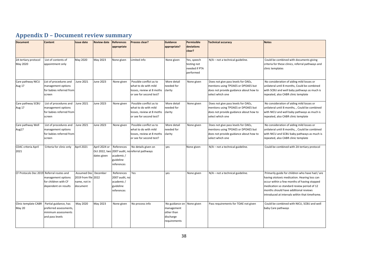# **Appendix D – Document review summary**

<span id="page-37-0"></span>

| <b>Document</b>                           | <b>Content</b>           | <b>Issue date</b>    | <b>Review date</b> | <b>References</b> | Process clear?                    | <b>Guidance</b> | Permissible   | <b>Technical accuracy</b>              | <b>Notes</b>                                      |
|-------------------------------------------|--------------------------|----------------------|--------------------|-------------------|-----------------------------------|-----------------|---------------|----------------------------------------|---------------------------------------------------|
|                                           |                          |                      |                    | appropriate       |                                   | appropriate?    | deviations    |                                        |                                                   |
|                                           |                          |                      |                    |                   |                                   |                 | clear?        |                                        |                                                   |
|                                           |                          |                      |                    |                   |                                   |                 |               |                                        |                                                   |
| 2A tertiary protocol                      | List of contents of      | May 2020             | May 2023           | None given        | Limited info                      | None given      | Yes, speech   | N/A - not a technical guideline.       | Could be combined with documents giving           |
| May 2020                                  | appointment only         |                      |                    |                   |                                   |                 | testing not   |                                        | criteria for these clinics, referral pathways and |
|                                           |                          |                      |                    |                   |                                   |                 | needed if PTA |                                        | clinic templates                                  |
|                                           |                          |                      |                    |                   |                                   |                 | performed     |                                        |                                                   |
| Care pathway NICU                         | List of procedures and   | <b>June 2021</b>     | <b>June 2023</b>   | None given        | Possible conflict as to           | More detail     | None given    | Does not give pass levels for OAEs,    | No consideration of aiding mild losses or         |
| Aug 17                                    | management options       |                      |                    |                   | what to do with mild              | needed for      |               | mentions using TPOAES or DPOAES but    | unilateral until 8 months, Could be combined      |
|                                           | for babies referred from |                      |                    |                   | losses, review at 8 moths         | clarity         |               | does not provide guidance about how to | with SCBU and well baby pathways as much is       |
|                                           | screen                   |                      |                    |                   | or see for second test?           |                 |               | select which one                       | repeated, also CABR clinic template               |
|                                           |                          |                      |                    |                   |                                   |                 |               |                                        |                                                   |
| Care pathway SCBU                         | List of procedures and   | <b>June 2021</b>     | <b>June 2023</b>   | None given        | Possible conflict as to           | More detail     | None given    | Does not give pass levels for OAEs,    | No consideration of aiding mild losses or         |
| Aug 17                                    | management options       |                      |                    |                   | what to do with mild              | needed for      |               | mentions using TPOAES or DPOAES but    | unilateral until 8 months, , Could be combined    |
|                                           | for babies referred from |                      |                    |                   | losses, review at 8 moths         | clarity         |               | does not provide guidance about how to | with NICU and well baby pathways as much is       |
|                                           | screen                   |                      |                    |                   | or see for second test?           |                 |               | select which one                       | repeated, also CABR clinic template               |
| Care pathway Well                         | List of procedures and   | June 2021            | June 2023          | None given        | Possible conflict as to           | More detail     | None given    | Does not give pass levels for OAEs,    | No consideration of aiding mild losses or         |
| Aug17                                     | management options       |                      |                    |                   | what to do with mild              | needed for      |               | mentions using TPOAES or DPOAES but    | unilateral until 8 months, , Could be combined    |
|                                           | for babies referred from |                      |                    |                   | losses, review at 8 moths clarity |                 |               | does not provide guidance about how to | with NICU and SCBU baby pathways as much is       |
|                                           | screen                   |                      |                    |                   | or see for second test?           |                 |               | select which one                       | repeated, also CABR clinic template               |
|                                           |                          |                      |                    |                   |                                   |                 |               |                                        |                                                   |
| <b>CDAC criteria April</b>                | Criteria for clinic only | April 2021           | April 2024 or      | References        | No details given on               | ves             | None given    | N/A - not a technical guideline.       | Could be combined with 2A tertiary protocol       |
| 2021                                      |                          |                      | Oct 2022, two      |                   | 2007 audit, no referral pathways  |                 |               |                                        |                                                   |
|                                           |                          |                      | dates given        | academic /        |                                   |                 |               |                                        |                                                   |
|                                           |                          |                      |                    | guideline         |                                   |                 |               |                                        |                                                   |
|                                           |                          |                      |                    | references        |                                   |                 |               |                                        |                                                   |
| CF Protocols Dec 2019 Referral routes and |                          | Assumed Dec December |                    | References        | Yes                               | ves             | None given    | N/A - not a technical guideline.       | Primarily guide for children who have had / are   |
|                                           | management options       | 2019 from file 2022  |                    | 2007 audit, no    |                                   |                 |               |                                        | having ototoxic medication. Hearing loss can      |
|                                           | for children with CF     | name, not in         |                    | academic/         |                                   |                 |               |                                        | occur within a few months of having stopped       |
|                                           | dependent on results     | document             |                    | guideline         |                                   |                 |               |                                        | medication so standard review period of 12        |
|                                           |                          |                      |                    | references        |                                   |                 |               |                                        | months should have additional reviews             |
|                                           |                          |                      |                    |                   |                                   |                 |               |                                        | introduced at intervals within that timeframe.    |
| Clinic template CABR                      | Partial guidance, has    | May 2020             | May 2023           | None given        | No process info                   | No guidance on  | None given    | Pass requirements for TOAE not given   | Could be combined with NICU, SCBU and well        |
| May 20                                    | preferred assessments,   |                      |                    |                   |                                   | management      |               |                                        | baby Care pathways                                |
|                                           | minimum assessments      |                      |                    |                   |                                   | other than      |               |                                        |                                                   |
|                                           | and pass levels          |                      |                    |                   |                                   | discharge       |               |                                        |                                                   |
|                                           |                          |                      |                    |                   |                                   | requirements    |               |                                        |                                                   |
|                                           |                          |                      |                    |                   |                                   |                 |               |                                        |                                                   |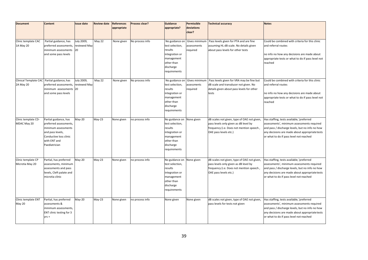| <b>Document</b>       | Content                  | ssue date    | <b>Review date</b> | <b>References</b> | Process clear?  | <b>Guidance</b> | Permissible   | <b>Technical accuracy</b>                   | <b>Notes</b>                                      |
|-----------------------|--------------------------|--------------|--------------------|-------------------|-----------------|-----------------|---------------|---------------------------------------------|---------------------------------------------------|
|                       |                          |              |                    | appropriate       |                 | appropriate?    | deviations    |                                             |                                                   |
|                       |                          |              |                    |                   |                 |                 | clear?        |                                             |                                                   |
|                       |                          |              |                    |                   |                 |                 |               |                                             |                                                   |
| Clinic template CAC   | Partial guidance, has    | July 2009,   | May 22             | None given        | No process info | No guidance on  | Gives minimum | Pass levels given for PTA and are fine      | Could be combined with criteria for this clinic   |
| 1A May 20             | preferred assessments,   | reviewed May |                    |                   |                 | test selection, | ssessments    | assuming HL dB scale. No details given      | and referral routes                               |
|                       | minimum assessments      | 20           |                    |                   |                 | results         | required      | about pass levels for other tests           |                                                   |
|                       | and some pass levels     |              |                    |                   |                 | integration or  |               |                                             | no info no how any decisions are made about       |
|                       |                          |              |                    |                   |                 | management      |               |                                             | appropriate tests or what to do if pass level not |
|                       |                          |              |                    |                   |                 | other than      |               |                                             | reached                                           |
|                       |                          |              |                    |                   |                 | discharge       |               |                                             |                                                   |
|                       |                          |              |                    |                   |                 | requirements    |               |                                             |                                                   |
| Clinical Template CAC | Partial guidance, has    | July 2009,   | May 22             | None given        | No process info | No guidance on  | Gives minimum | Pass levels given for VRA may be fine but   | Could be combined with criteria for this clinic   |
| 2A May 20             | preferred assessments,   | reviewed May |                    |                   |                 | test selection, | assessments   | dB scale and transducer not given. No       | and referral routes                               |
|                       | minimum assessments      | 20           |                    |                   |                 | results         | required      | details given about pass levels for other   |                                                   |
|                       | and some pass levels     |              |                    |                   |                 | integration or  |               | tests                                       | no info no how any decisions are made about       |
|                       |                          |              |                    |                   |                 | management      |               |                                             | appropriate tests or what to do if pass level not |
|                       |                          |              |                    |                   |                 | other than      |               |                                             | reached                                           |
|                       |                          |              |                    |                   |                 | discharge       |               |                                             |                                                   |
|                       |                          |              |                    |                   |                 | requirements    |               |                                             |                                                   |
|                       |                          |              |                    |                   |                 |                 |               |                                             |                                                   |
| Clinic template CD-   | Partial guidance, has    | $May-20$     | $May-23$           | None given        | no process info | No guidance on  | None given    | dB scales not given, type of OAE not given, | Has staffing, tests available, 'preferred         |
| MDAC May 20           | preferred assessments,   |              |                    |                   |                 | test selection, |               | pass levels only given as dB level by       | assessments', minimum assessments required        |
|                       | minimum assessments      |              |                    |                   |                 | results         |               | frequency (i.e. Does not mention speech,    | and pass / discharge levels, but no info no how   |
|                       | and pass levels,         |              |                    |                   |                 | integration or  |               | OAE pass levels etc.)                       | any decisions are made about appropriate tests    |
|                       | Conductive loss clinic   |              |                    |                   |                 | management      |               |                                             | or what to do if pass level not reached           |
|                       | with ENT and             |              |                    |                   |                 | other than      |               |                                             |                                                   |
|                       | Paediatrician            |              |                    |                   |                 | discharge       |               |                                             |                                                   |
|                       |                          |              |                    |                   |                 | requirements    |               |                                             |                                                   |
| Clinic template CP    | Partial, has preferred   | May-20       | $May-23$           | None given        | no process info | No guidance on  | None given    | dB scales not given, type of OAE not given, | Has staffing, tests available, 'preferred         |
| Microtia May 20       | assessments, minimum     |              |                    |                   |                 | test selection, |               | pass levels only given as dB level by       | assessments', minimum assessments required        |
|                       | assessments and pass     |              |                    |                   |                 | results         |               | frequency (i.e. Does not mention speech,    | and pass / discharge levels, but no info no how   |
|                       | levels, Cleft palate and |              |                    |                   |                 | integration or  |               | OAE pass levels etc.)                       | any decisions are made about appropriate tests    |
|                       | microtia clinic          |              |                    |                   |                 | management      |               |                                             | or what to do if pass level not reached           |
|                       |                          |              |                    |                   |                 | other than      |               |                                             |                                                   |
|                       |                          |              |                    |                   |                 | discharge       |               |                                             |                                                   |
|                       |                          |              |                    |                   |                 | requirements    |               |                                             |                                                   |
|                       |                          |              |                    |                   |                 |                 |               |                                             |                                                   |
| Clinic template ENT   | Partial, has preferred   | May-20       | $May-23$           | None given        | no process info | None given      | None given    | dB scales not given, type of OAE not given, | Has staffing, tests available, 'preferred         |
| <b>May 20</b>         | assessments &            |              |                    |                   |                 |                 |               | pass levels for tests not given             | assessments', minimum assessments required        |
|                       | minimum assessments,     |              |                    |                   |                 |                 |               |                                             | and pass / discharge levels, but no info no how   |
|                       | ENT clinic testing for 3 |              |                    |                   |                 |                 |               |                                             | any decisions are made about appropriate tests    |
|                       | $Vrs +$                  |              |                    |                   |                 |                 |               |                                             | or what to do if pass level not reached           |
|                       |                          |              |                    |                   |                 |                 |               |                                             |                                                   |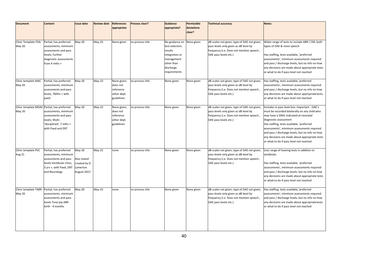| <b>Document</b><br>Clinic Template FDA<br>May 20 | <b>Content</b><br>Partial, has preferred<br>assessments, minimum<br>assessments and pass<br>levels, Further<br>diagnostic assessments<br>from 4 mths +        | <b>Issue date</b><br>$May-20$                                     | <b>Review date</b><br>$May-23$ | <b>References</b><br>appropriate<br>None given                    | Process clear?<br>no process info | <b>Guidance</b><br>appropriate?<br>No guidance on<br>test selection,<br>results<br>integration or<br>management<br>other than<br>discharge | Permissible<br>deviations<br>clear?<br>Vone given | <b>Technical accuracy</b><br>dB scales not given, type of OAE not given,<br>pass levels only given as dB level by<br>frequency (i.e. Does not mention speech,<br>OAE pass levels etc.) | <b>Notes</b><br>Wider range of tests to include ABR / CM, both<br>types of OAE & more speech<br>Has staffing, tests available, 'preferred<br>assessments', minimum assessments required<br>and pass / discharge levels, but no info no how                                                                                                                                                                  |
|--------------------------------------------------|---------------------------------------------------------------------------------------------------------------------------------------------------------------|-------------------------------------------------------------------|--------------------------------|-------------------------------------------------------------------|-----------------------------------|--------------------------------------------------------------------------------------------------------------------------------------------|---------------------------------------------------|----------------------------------------------------------------------------------------------------------------------------------------------------------------------------------------|-------------------------------------------------------------------------------------------------------------------------------------------------------------------------------------------------------------------------------------------------------------------------------------------------------------------------------------------------------------------------------------------------------------|
| Clinic template MAC                              | Partial, has preferred                                                                                                                                        | $May-20$                                                          | $May-23$                       | None given,                                                       | no process info                   | requirements<br>None given                                                                                                                 | None given                                        | dB scales not given, type of OAE not given,                                                                                                                                            | any decisions are made about appropriate tests<br>or what to do if pass level not reached<br>Has staffing, tests available, 'preferred                                                                                                                                                                                                                                                                      |
| May 20                                           | assessments, minimum<br>assessments and pass<br>levels, 7Mths + with<br>paed                                                                                  |                                                                   |                                | does not<br>reference<br>other dept.<br>guidelines                |                                   |                                                                                                                                            |                                                   | pass levels only given as dB level by<br>frequency (i.e. Does not mention speech,<br>OAE pass levels etc.)                                                                             | assessments', minimum assessments required<br>and pass / discharge levels, but no info no how<br>any decisions are made about appropriate tests<br>or what to do if pass level not reached                                                                                                                                                                                                                  |
| <b>May 20</b>                                    | Clinic template MDAC Partial, has preferred<br>assessments, minimum<br>assessments and pass<br>levels, Multi-<br>'disciplined', 7 mths +<br>with Paed and ENT | May-20                                                            | $May-23$                       | None given,<br>does not<br>reference<br>other dept.<br>guidelines | no process info                   | None given                                                                                                                                 | None given                                        | dB scales not given, type of OAE not given,<br>pass levels only given as dB level by<br>frequency (i.e. Does not mention speech,<br>OAE pass levels etc.)                              | Includes in pass level box: Important - OAE's<br>must be recorded bilaterally on any child who<br>may have a SNHL indicated at neonatal<br>diagnostic assessment<br>Has staffing, tests available, 'preferred<br>assessments', minimum assessments required<br>and pass / discharge levels, but no info no how<br>any decisions are made about appropriate tests<br>or what to do if pass level not reached |
| Clinic template PVC<br>Aug 21                    | Partial, has preferred<br>assessments, minimum<br>assessments and pass<br>levels Vestibular clinic,<br>3 yrs +, with Paed, ENT<br>and Neurology               | May-20<br>Also stated<br>created by D<br>Lamerton<br>August 2021' | $May-23$                       | none                                                              | no process info                   | None given                                                                                                                                 | None given                                        | dB scales not given, type of OAE not given,<br>pass levels only given as dB level by<br>frequency (i.e. Does not mention speech,<br>OAE pass levels etc.)                              | Lists range of hearing tests in addition to<br>vestibular.<br>Has staffing, tests available, 'preferred<br>assessments', minimum assessments required<br>and pass / discharge levels, but no info no how<br>any decisions are made about appropriate tests<br>or what to do if pass level not reached                                                                                                       |
| Clinic template TABR<br>May 20                   | Partial, has preferred<br>assessments, minimum<br>assessments and pass<br>levels Tone pip ABR<br>birth - 4 months                                             | May-20                                                            | $May-23$                       | none                                                              | no process info                   | None given                                                                                                                                 | None given                                        | dB scales not given, type of OAE not given,<br>pass levels only given as dB level by<br>frequency (i.e. Does not mention speech,<br>OAE pass levels etc.)                              | Has staffing, tests available, 'preferred<br>assessments', minimum assessments required<br>and pass / discharge levels, but no info no how<br>any decisions are made about appropriate tests<br>or what to do if pass level not reached                                                                                                                                                                     |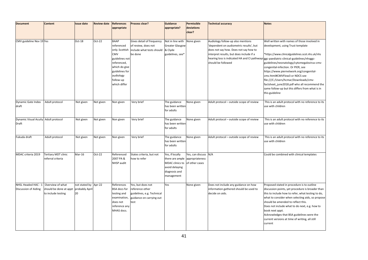| <b>Document</b>                               | Content                                                          | <b>Issue date</b>                            | <b>Review date</b> | <b>References</b>                                                                                           | Process clear?                                                                                         | <b>Guidance</b>                                                                                                                       | Permissible          | <b>Technical accuracy</b>                                                                                                                                                                                                                                                        | <b>Notes</b>                                                                                                                                                                                                                                                                                                                                                                                                                |
|-----------------------------------------------|------------------------------------------------------------------|----------------------------------------------|--------------------|-------------------------------------------------------------------------------------------------------------|--------------------------------------------------------------------------------------------------------|---------------------------------------------------------------------------------------------------------------------------------------|----------------------|----------------------------------------------------------------------------------------------------------------------------------------------------------------------------------------------------------------------------------------------------------------------------------|-----------------------------------------------------------------------------------------------------------------------------------------------------------------------------------------------------------------------------------------------------------------------------------------------------------------------------------------------------------------------------------------------------------------------------|
|                                               |                                                                  |                                              |                    | appropriate                                                                                                 |                                                                                                        | appropriate?                                                                                                                          | deviations<br>clear? |                                                                                                                                                                                                                                                                                  |                                                                                                                                                                                                                                                                                                                                                                                                                             |
|                                               |                                                                  |                                              |                    |                                                                                                             |                                                                                                        |                                                                                                                                       |                      |                                                                                                                                                                                                                                                                                  |                                                                                                                                                                                                                                                                                                                                                                                                                             |
| CMV guideline Nov 19 Yes                      |                                                                  | Oct-18                                       | Oct-22             | <b>BAAP</b><br>referenced<br>only. Scottish<br>CMV<br>guidelines not<br>referenced,<br>which do give        | Gives detail of frequency<br>of review, does not<br>include what tests should & Clyde<br>be done       | Not in line with<br><b>Greater Glasgow</b><br>guidelines, see*                                                                        | None given           | Audiology follow-up also mentions<br>dependent on audiometric results', but<br>does not say how. Does not say how to<br>nterpret results, but does include if a<br>hearing loss is indicated HA and CI pathways ggc-paediatric-clinical-guidelines/nhsggc-<br>should be followed | Well written with names of those involved in<br>development, using Trust template<br>*https://www.clinicalguidelines.scot.nhs.uk/nhs<br>guidelines/neonatology/cytomegalovirus-cmv-<br>congenital-infection. Or PIER, see                                                                                                                                                                                                   |
|                                               |                                                                  |                                              |                    | guidelines for<br>audiology<br>follow-up<br>which differ                                                    |                                                                                                        |                                                                                                                                       |                      |                                                                                                                                                                                                                                                                                  | https://www.piernetwork.org/congenital-<br>cmv.html#CMVFlow3 or NDCS see<br>file:///C:/Users/hcmar/Downloads/cmv-<br>factsheet june2018.pdf who all recommend the<br>same follow-up but this differs from what is in<br>this guideline                                                                                                                                                                                      |
| Dynamic Gate Index<br>draft                   | Adult protocol                                                   | Not given                                    | Not given          | Non given                                                                                                   | Very brief                                                                                             | The guidance<br>has been written<br>for adults                                                                                        | None given           | Adult protocol - outside scope of review                                                                                                                                                                                                                                         | This is an adult protocol with no reference to its<br>use with children                                                                                                                                                                                                                                                                                                                                                     |
| Dynamic Visual Acuity Adult protocol<br>Draft |                                                                  | Not given                                    | Not given          | Non given                                                                                                   | Very brief                                                                                             | The guidance<br>has been written<br>for adults                                                                                        | None given           | Adult protocol - outside scope of review                                                                                                                                                                                                                                         | This is an adult protocol with no reference to its<br>use with children                                                                                                                                                                                                                                                                                                                                                     |
| Fukuda draft                                  | Adult protocol                                                   | Not given                                    | Not given          | Non given                                                                                                   | Very brief                                                                                             | The guidance<br>has been written<br>for adults                                                                                        | None given           | Adult protocol - outside scope of review                                                                                                                                                                                                                                         | This is an adult protocol with no reference to its<br>use with children                                                                                                                                                                                                                                                                                                                                                     |
| MDAC criteria 2019                            | Tertiary MDT clinic<br>referral criteria                         | Mar-16                                       | Oct-22             | Referenced<br>2007 PA &<br>NHSP audit                                                                       | States criteria, but not<br>how to refer                                                               | Yes, if locally<br>there are ample appropriateness<br>MDAC clinics to of other cases<br>avoid delaying<br>diagnosis and<br>management | Yes, can discuss N/A |                                                                                                                                                                                                                                                                                  | Could be combined with clinical templates                                                                                                                                                                                                                                                                                                                                                                                   |
| NHSL Headed HAC - 1<br>Discussion of Aiding   | Overview of what<br>should be done at appt<br>to include testing | not stated by Apr-22<br>probably April<br>20 |                    | References<br><b>BSA</b> docs for<br>testing and<br>examination,<br>does not<br>reference any<br>MHAS docs. | Yes, but does not<br>reference other<br>guidelines, e.g. Technical<br>guidance on carrying out<br>test | Yes                                                                                                                                   | None given           | Does not include any guidance on how<br>information gathered should be used to<br>decide on aids.                                                                                                                                                                                | Proposed stated in procedure is to outline<br>discussion points, yet procedure is broader than<br>this to include how to refer, what testing to do,<br>what to consider when selecting aids, so propose<br>should be amended to reflect this.<br>Does not include what to do next, e.g. how to<br>book next appt.<br>Acknowledges that BSA guidelines were the<br>current versions at time of writing, all still<br>current |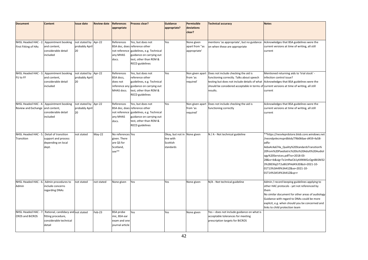| <b>Document</b>                                         | Content                                                                           | ssue date                                    | <b>Review date</b> | <b>References</b><br>appropriate                                      | <b>Process clear?</b>                                                                                                                                                          | Guidance<br>appropriate?                                          | Permissible<br>deviations<br>clear?          | <b>Technical accuracy</b>                                                                                                                                                                                                                   | <b>Notes</b>                                                                                                                                                                                                                                                                                                                                                               |
|---------------------------------------------------------|-----------------------------------------------------------------------------------|----------------------------------------------|--------------------|-----------------------------------------------------------------------|--------------------------------------------------------------------------------------------------------------------------------------------------------------------------------|-------------------------------------------------------------------|----------------------------------------------|---------------------------------------------------------------------------------------------------------------------------------------------------------------------------------------------------------------------------------------------|----------------------------------------------------------------------------------------------------------------------------------------------------------------------------------------------------------------------------------------------------------------------------------------------------------------------------------------------------------------------------|
| NHSL Headed HAC - 2<br><b>First Fitting of HAs</b>      | Appointment booking<br>and content,<br>considerable detail<br>included            | not stated by Apr-22<br>probably April<br>20 |                    | References<br>any MHAS<br>docs.                                       | Yes, but does not<br>BSA doc, does reference other<br>not reference guidelines, e.g. Technical<br>guidance on carrying out<br>test, other than REM &<br><b>RECD</b> guidelines | Yes                                                               | None given<br>apart from "as<br>appropriate' | mentions 'as appropriate', but no guidance<br>on when these are appropriate                                                                                                                                                                 | Acknowledges that BSA guidelines were the<br>current versions at time of writing, all still<br>current                                                                                                                                                                                                                                                                     |
| NHSL Headed HAC - 3.<br>FU to FF                        | Appointment booking<br>and content,<br>considerable detail<br>included            | not stated by Apr-22<br>probably April<br>20 |                    | References<br>BSA docs,<br>does not<br>reference any<br>MHAS docs.    | Yes, but does not<br>reference other<br>guidelines, e.g. Technical<br>guidance on carrying out<br>test, other than REM &<br><b>RECD</b> guidelines                             | Yes                                                               | Non given apart<br>from 'as<br>required'     | Does not include checking the aid is<br>functioning correctly. Talks about speech<br>testing but does not include details of what<br>should be considered acceptable in terms of current versions at time of writing, all still<br>results. | Mentioned returning aids to 'trial stock' -<br>infection control issue?<br>Acknowledges that BSA guidelines were the<br>current                                                                                                                                                                                                                                            |
| NHSL Headed HAC - 4.<br>Review and Exchange             | Appointment booking<br>and content,<br>considerable detail<br>included            | not stated by Apr-22<br>probably April<br>20 |                    | References<br>any MHAS<br>docs.                                       | Yes, but does not<br>BSA doc, does reference other<br>not reference guidelines, e.g. Technical<br>guidance on carrying out<br>test, other than REM &<br><b>RECD</b> guidelines | Yes                                                               | Non given apart<br>from 'as<br>required'     | Does not include checking the aid is<br>functioning correctly                                                                                                                                                                               | Acknowledges that BSA guidelines were the<br>current versions at time of writing, all still<br>current                                                                                                                                                                                                                                                                     |
| NHSL Headed HAC - 5. Detail of transition<br>Transition | support and process<br>depending on local<br>dept.                                | าot stated                                   | $May-22$           | No references Yes<br>given. There<br>are QS for<br>Scotland,<br>see** |                                                                                                                                                                                | Okay, but not in None given<br>line with<br>Scottish<br>standards |                                              | N / A - Not technical guideline                                                                                                                                                                                                             | **https://nesvleprdstore.blob.core.windows.net<br>/nesndpvlecmsprdblob/79b066ae-d459-4a58-<br>adfa-<br>4eba4c4a674a Quality%20StandardsTransition%<br>20from%20Paediatric%20to%20Adult%20Audiol<br>ogy%20Services.pdf?sv=2018-03-<br>28&sr=b&sig=Tx1mRwCb1yK4NWGcOgnBkSM32<br>3%2BEXlqZrT2uBG3PAdA%3D&st=2021-10-<br>01T13%3A49%3A41Z&se=2021-10-<br>01T14%3A54%3A41Z&sp=r |
| NHSL Headed HAC - 6.<br>Admin                           | Admin procedures to<br>include concerns<br>regarding DNAs                         | not stated                                   | not stated         | None given                                                            | Yes                                                                                                                                                                            | Yes                                                               | None given                                   | N/A - Not technical guideline                                                                                                                                                                                                               | Admin / record keeping guidelines applying to<br>other HAC protocols - yet not referenced by<br>them<br>No similar document for other areas of audiology<br>Guidance with regard to DNAs could be more<br>explicit, e.g. when should you be concerned and<br>links to child protection team                                                                                |
| NHSL Headed HAC -<br><b>CROS and BICROS</b>             | Rational, candidacy and<br>fitting procedure,<br>considerable technical<br>detail | not stated                                   | Feb-23             | BSA probe<br>mic, BSA ear<br>exam and one<br>journal article          | Yes                                                                                                                                                                            | Yes                                                               | None given                                   | Yes - does not include guidance on what is<br>acceptable tolerances for meeting<br>prescription targets for BiCROS                                                                                                                          |                                                                                                                                                                                                                                                                                                                                                                            |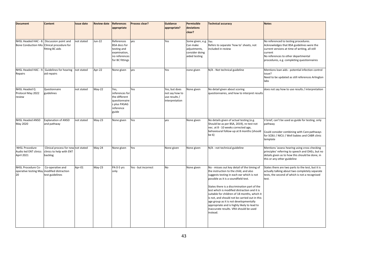| <b>Document</b><br>NHSL Headed HAC - 8.<br>Bone Conduction HAs Clinical procedure for<br>NHSL Headed HAC - 9. | Content<br>Discussion point and<br>fitting BC aids<br>Guidelines for hearing | <b>Issue date</b><br>not stated<br>not stated | <b>Review date</b><br>Jun-22<br>Apr-22 | <b>References</b><br>appropriate<br>References<br><b>BSA</b> docs for<br>testing and<br>examination,<br>no references<br>for BC fittings<br>None given | Process clear?<br>ves<br>ves | <b>Guidance</b><br>appropriate?<br>Yes<br>Yes                      | Permissible<br>deviations<br>clear?<br>Some given, e.g.<br>Can make<br>adjustments,<br>consider doing<br>aided testing<br>none given | <b>Technical accuracy</b><br>Yes<br>Refers to separate 'how to' sheets, not<br>ncluded in review<br>N/A - Not technical guideline                                                                                                                                                                                                                                                                                                                                                                                          | <b>Notes</b><br>No referenced to testing procedures.<br>Acknowledges that BSA guidelines were the<br>current versions at time of writing, all still<br>current<br>No references to other departmental<br>procedures, e.g. completing questionnaires<br>Mentions loan aids - potential infection control |
|---------------------------------------------------------------------------------------------------------------|------------------------------------------------------------------------------|-----------------------------------------------|----------------------------------------|--------------------------------------------------------------------------------------------------------------------------------------------------------|------------------------------|--------------------------------------------------------------------|--------------------------------------------------------------------------------------------------------------------------------------|----------------------------------------------------------------------------------------------------------------------------------------------------------------------------------------------------------------------------------------------------------------------------------------------------------------------------------------------------------------------------------------------------------------------------------------------------------------------------------------------------------------------------|---------------------------------------------------------------------------------------------------------------------------------------------------------------------------------------------------------------------------------------------------------------------------------------------------------|
| Repairs                                                                                                       | aid repairs                                                                  |                                               |                                        |                                                                                                                                                        |                              |                                                                    |                                                                                                                                      |                                                                                                                                                                                                                                                                                                                                                                                                                                                                                                                            | issue?<br>Need to be updated as still references Arlington<br>labs                                                                                                                                                                                                                                      |
| NHSL Headed Q<br>Protocol May 2022<br>review                                                                  | Questionnaire<br>guidelines                                                  | not stated                                    | $May-22$                               | Yes,<br>references for<br>the different<br>questionnaire<br>s plus PASAG<br>reference<br>guide                                                         | Yes                          | Yes, but does<br>not say how to<br>use results /<br>interpretation | None given                                                                                                                           | No detail given about scoring<br>questionnaires, and how to interpret results                                                                                                                                                                                                                                                                                                                                                                                                                                              | does not say how to use results / interpretation                                                                                                                                                                                                                                                        |
| <b>NHSL Headed ANSD</b><br>May 2020                                                                           | <b>Explanation of ANSD</b><br>and pathway                                    | not stated                                    | $May-23$                               | None given                                                                                                                                             | Yes                          | ves                                                                | None given                                                                                                                           | No details given of actual testing (e.g.<br>Should be as per BSA, 2019), re-test not<br>nec. at 8 - 10 weeks corrected age,<br>behavioural follow-up at 8 months (should<br>be 6)                                                                                                                                                                                                                                                                                                                                          | V brief, can't be used as guide for testing, only<br>pathway<br>Could consider combining with Care pathways<br>for SCBU / NICU / Well babies and CABR clinic<br>template                                                                                                                                |
| <b>NHSL Procedure</b><br>Audio led ENT clinics<br>April 2021                                                  | Clinical process for new not stated<br>clinics to help with ENT<br>backlog   |                                               | May-24                                 | None given                                                                                                                                             | Yes                          | None given                                                         | None given                                                                                                                           | N/A - not technical guideline                                                                                                                                                                                                                                                                                                                                                                                                                                                                                              | Mentions 'assess hearing using cross checking<br>principles' referring to speech and OAEs, but no<br>details given as to how this should be done, in<br>this or any other guideline                                                                                                                     |
| NHSL Procedure Co-<br>operative testing May modified distraction<br>20                                        | Co-operative and<br>test guidelines                                          | Apr-01                                        | $May-23$                               | PA 0-5 yrs<br>only                                                                                                                                     | Yes - but incorrect          | No                                                                 | None given                                                                                                                           | No - misses out key detail of the timing of<br>the instruction to the child, and also<br>suggests testing in each ear which is not<br>possible as it is a soundfield test.<br>States there is a discrimination part of the<br>test which is modified distraction and it is<br>suitable for children of 18 months, which it<br>is not, and should not be carried out in this<br>age group as it is not developmentally<br>appropriate and is highly likely to lead to<br>inaccurate results. VRA should be used<br>instead. | States there are two parts to the test, but it is<br>actually talking about two completely separate<br>tests, the second of which is not a recognised<br>test.                                                                                                                                          |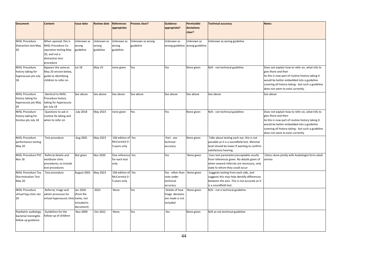| <b>Document</b>             | Content                              | <b>Issue date</b> | <b>Review date</b> | <b>References</b>  | Process clear?   | <b>Guidance</b>  | Permissible                     | <b>Technical accuracy</b>                    | <b>Notes</b>                                       |
|-----------------------------|--------------------------------------|-------------------|--------------------|--------------------|------------------|------------------|---------------------------------|----------------------------------------------|----------------------------------------------------|
|                             |                                      |                   |                    | appropriate        |                  | appropriate?     | deviations                      |                                              |                                                    |
|                             |                                      |                   |                    |                    |                  |                  | clear?                          |                                              |                                                    |
|                             |                                      |                   |                    |                    |                  |                  |                                 |                                              |                                                    |
| <b>NHSL Procedure</b>       | When opened, this is                 | Unknown as        | Unknown as         | Unknown as         | Unknown as wrong | Unknown as       | Unknown as                      | Unknown as wrong guideline                   |                                                    |
| <b>Distraction test May</b> | NHSL Procedure Co-                   | wrong             | wrong              | wrong              | guideline        |                  | wrong guideline wrong guideline |                                              |                                                    |
| 20                          | operative testing May                | guideline         | guideline          | guideline          |                  |                  |                                 |                                              |                                                    |
|                             | 20, and not a                        |                   |                    |                    |                  |                  |                                 |                                              |                                                    |
|                             | distraction test                     |                   |                    |                    |                  |                  |                                 |                                              |                                                    |
|                             | procedure                            |                   |                    |                    |                  |                  |                                 |                                              |                                                    |
| <b>NHSL Procedure</b>       | Appears the same as                  | Jul-18            | $May-23$           | none given         | Yes              | Yes              | None given                      | N/A - not technical guideline                | Does not explain how to refer on, what info to     |
| history taking for          | May 20 version below,                |                   |                    |                    |                  |                  |                                 |                                              | give there and then                                |
| hyperacusis pts July        | guide to identifying                 |                   |                    |                    |                  |                  |                                 |                                              | As this is now part of routine history taking it   |
| 18                          | children to refer on.                |                   |                    |                    |                  |                  |                                 |                                              | would be better embedded into a guideline          |
|                             |                                      |                   |                    |                    |                  |                  |                                 |                                              |                                                    |
|                             |                                      |                   |                    |                    |                  |                  |                                 |                                              | covering all history taking - but such a guideline |
|                             |                                      |                   |                    |                    |                  |                  |                                 |                                              | does not seem to exist currently.                  |
| <b>NHSL Procedure</b>       | <b>Identical to NHSL</b>             | See above         | See above          | See above          | See above        | See above        | See above                       | See above                                    | See above                                          |
| history taking for          | Procedure history                    |                   |                    |                    |                  |                  |                                 |                                              |                                                    |
| hyperacusis pts May         | taking for hyperacusis               |                   |                    |                    |                  |                  |                                 |                                              |                                                    |
| 20                          | pts July 18                          |                   |                    |                    |                  |                  |                                 |                                              |                                                    |
| <b>NHSL Procedure</b>       | Questions to ask in                  | <b>July 2018</b>  | May 2023           | none given         | Yes              | Yes              | None given                      | N/A - not technical guideline                | Does not explain how to refer on, what info to     |
| history taking for          | routine Hx taking and                |                   |                    |                    |                  |                  |                                 |                                              | give there and then                                |
| tinnitus pts July 18        | when to refer on                     |                   |                    |                    |                  |                  |                                 |                                              | As this is now part of routine history taking it   |
|                             |                                      |                   |                    |                    |                  |                  |                                 |                                              | would be better embedded into a guideline          |
|                             |                                      |                   |                    |                    |                  |                  |                                 |                                              | covering all history taking - but such a guideline |
|                             |                                      |                   |                    |                    |                  |                  |                                 |                                              | does not seem to exist currently.                  |
| <b>NHSL Procedure</b>       | Test procedure                       | Aug 2001          | May 2023           | Old edition of Yes |                  | Part - see       | None given                      | Talks about testing each ear, this is not    |                                                    |
| performance testing         |                                      |                   |                    | McCormick 0        |                  | technical        |                                 | possible as it is a soundfield test. Minimal |                                                    |
| <b>May 20</b>               |                                      |                   |                    | 5 years only       |                  | accuracy         |                                 | level should be lower if wanting to confirm  |                                                    |
|                             |                                      |                   |                    |                    |                  |                  |                                 | satisfactory hearing.                        |                                                    |
| <b>NHSL Procedure PVC</b>   | Referral details and                 | Not given         | <b>Nov 2020</b>    | One reference Yes  |                  | Yes              | None given                      | Uses test parameters/acceptable results      | Clinics done jointly with Audiologist form adult   |
| Nov 18                      | vestibular clinic                    |                   |                    | for each test      |                  |                  |                                 | from references given. No details given of   | service                                            |
|                             | procedures, to include               |                   |                    | only               |                  |                  |                                 | when onward referrals are necessary, only    |                                                    |
|                             | test procedures                      |                   |                    |                    |                  |                  |                                 | state to whom they could occur               |                                                    |
| <b>NHSL Procedure Toy</b>   | Test procedure                       | August 2001       | May 2023           | Old edition of Yes |                  | Yes - other than | None given                      | Suggests testing from each side, and         |                                                    |
| <b>Discrimination Test</b>  |                                      |                   |                    | McCormick 0        |                  | note under       |                                 | suggests this may help identify differences  |                                                    |
| <b>May 20</b>               |                                      |                   |                    | 5 years only       |                  | technical        |                                 | between the ears. This is not accurate as it |                                                    |
|                             |                                      |                   |                    |                    |                  | accuracy         |                                 | is a soundfield test.                        |                                                    |
| <b>NHSL Procedure</b>       | Referral, triage and                 | Jan 2020          | 2023               | None               | Yes              | Details of how   | None given                      | N/A - not a technical guideline              |                                                    |
| virtual hyp clinic Jan      | admin processes for                  | (from file        |                    |                    |                  | triage decisions |                                 |                                              |                                                    |
| 20                          | virtual hyperacusis clinic name, not |                   |                    |                    |                  | are made is not  |                                 |                                              |                                                    |
|                             |                                      | included in       |                    |                    |                  | included         |                                 |                                              |                                                    |
|                             |                                      | document)         |                    |                    |                  |                  |                                 |                                              |                                                    |
| Paediatric audiology        | Guidelines for the                   | Nov 2009          | Oct 2022           | None               | Yes              | Yes              | None given                      | N/A as not technical guideline               |                                                    |
| bacterial meningitis        | follow-up of children                |                   |                    |                    |                  |                  |                                 |                                              |                                                    |
| follow up guidance          |                                      |                   |                    |                    |                  |                  |                                 |                                              |                                                    |
|                             |                                      |                   |                    |                    |                  |                  |                                 |                                              |                                                    |
|                             |                                      |                   |                    |                    |                  |                  |                                 |                                              |                                                    |
|                             |                                      |                   |                    |                    |                  |                  |                                 |                                              |                                                    |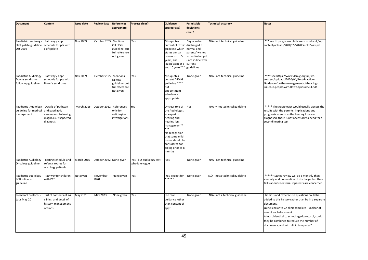| <b>Document</b>                                               | <b>Content</b>                                                                                     | <b>Issue date</b> | <b>Review date</b>      | <b>References</b>                                                           | Process clear?                             | <b>Guidance</b>                                                                                                                                                                                                   | Permissible                                                                                        | <b>Technical accuracy</b>       | <b>Notes</b>                                                                                                                                                                                                                                                                                                                         |
|---------------------------------------------------------------|----------------------------------------------------------------------------------------------------|-------------------|-------------------------|-----------------------------------------------------------------------------|--------------------------------------------|-------------------------------------------------------------------------------------------------------------------------------------------------------------------------------------------------------------------|----------------------------------------------------------------------------------------------------|---------------------------------|--------------------------------------------------------------------------------------------------------------------------------------------------------------------------------------------------------------------------------------------------------------------------------------------------------------------------------------|
|                                                               |                                                                                                    |                   |                         | appropriate                                                                 |                                            | appropriate?                                                                                                                                                                                                      | deviations<br>clear?                                                                               |                                 |                                                                                                                                                                                                                                                                                                                                      |
|                                                               |                                                                                                    |                   |                         |                                                                             |                                            |                                                                                                                                                                                                                   |                                                                                                    |                                 |                                                                                                                                                                                                                                                                                                                                      |
| Paediatric audiology<br>cleft palate guideline<br>Oct 2019    | Pathway / appt<br>schedule for pts with<br>cleft palate                                            | Nov 2009          | October 2022            | Mentions<br><b>CLEFTSIS</b><br>guideline but<br>full reference<br>not given | Yes                                        | MIs-quotes<br>current CLEFTSiS discharged if<br>guideline which<br>states annual<br>review up to 5<br>years, and<br>audit' appt at 5 current<br>and 10 years***                                                   | Says can be<br>normal and<br>parents' wishes<br>to be discharged<br>not in-line with<br>guidelines | N/A - not technical guideline   | *** see https://www.cleftcare.scot.nhs.uk/wp-<br>content/uploads/2020/05/202004-CP-Pway.pdf                                                                                                                                                                                                                                          |
| Paediatric Audiology<br>Downs syndrome<br>follow up guideline | Pathway / appt<br>schedule for pts with<br>Down's syndrome                                         | Nov 2009          | October 2022 Mentions   | <b>DSMIG</b><br>guideline but<br>full reference<br>not given                | Yes                                        | Mis-quotes<br>current DSMIG<br>guideline ****<br>but<br>appointment<br>schedule is<br>appropriate                                                                                                                 | None given                                                                                         | N/A - not technical guideline   | **** see https://www.dsmig.org.uk/wp-<br>content/uploads/2020/04/Best-Practice-<br>Guidance-for-the-management-of-hearing-<br>issues-in-people-with-Down-syndrome-1.pdf                                                                                                                                                              |
| Paediatric Audiology<br>guideline for medical<br>management   | Details of pathway<br>and paediatric<br>assessment following<br>diagnosis / suspected<br>diagnosis | March 2016        | October 2022            | References<br>only for<br>aetiological<br>investigations                    | Yes                                        | Unclear role of<br>the Audiologist<br>as expert in<br>hearing and<br>hearing loss<br>management**<br>***<br>No recognition<br>that some mild<br>losses should be<br>considered for<br>aiding prior to 8<br>months | Yes                                                                                                | N/A -= not technical guideline  | ***** The Audiologist would usually discuss the<br>results with the parents, implications and<br>prognosis as soon as the hearing loss was<br>diagnosed, there is not necessarily a need for a<br>second hearing test                                                                                                                |
| Paediatric Audiology<br>Oncology guideline                    | Testing schedule and<br>referral routes for<br>oncology patients                                   | March 2016        | October 2022 None given |                                                                             | Yes - but audiology test<br>schedule vague | ves                                                                                                                                                                                                               | None given                                                                                         | N/A - not technical guideline   |                                                                                                                                                                                                                                                                                                                                      |
| Paediatric audiology<br>PCD follow up<br>guideline            | Pathway for children<br>with PCD                                                                   | Not given         | November<br>2020        | None given                                                                  | Yes                                        | Yes, except for<br>******                                                                                                                                                                                         | None given                                                                                         | N/A - not a technical guideline | ****** States review will be 6 monthly then<br>annually and no mention of discharge, but then<br>talks about re-referral if parents are concerned.                                                                                                                                                                                   |
| Preschool protocol<br>Laur May 20                             | List of contents of 2A<br>clinics, and detail of<br>history, management<br>options                 | May 2020          | May 2023                | None given                                                                  | Yes                                        | No real<br>guidance other<br>than content of<br>appt                                                                                                                                                              | None given                                                                                         | N/A - not a technical guideline | Tinnitus and hyperacusis questions could be<br>added to this history rather than be in a separate<br>document.<br>Quite similar to 2A clinic template - unclear of<br>role of each document.<br>Almost identical to school aged protocol, could<br>they be combined to reduce the number of<br>documents, and with clinic templates? |